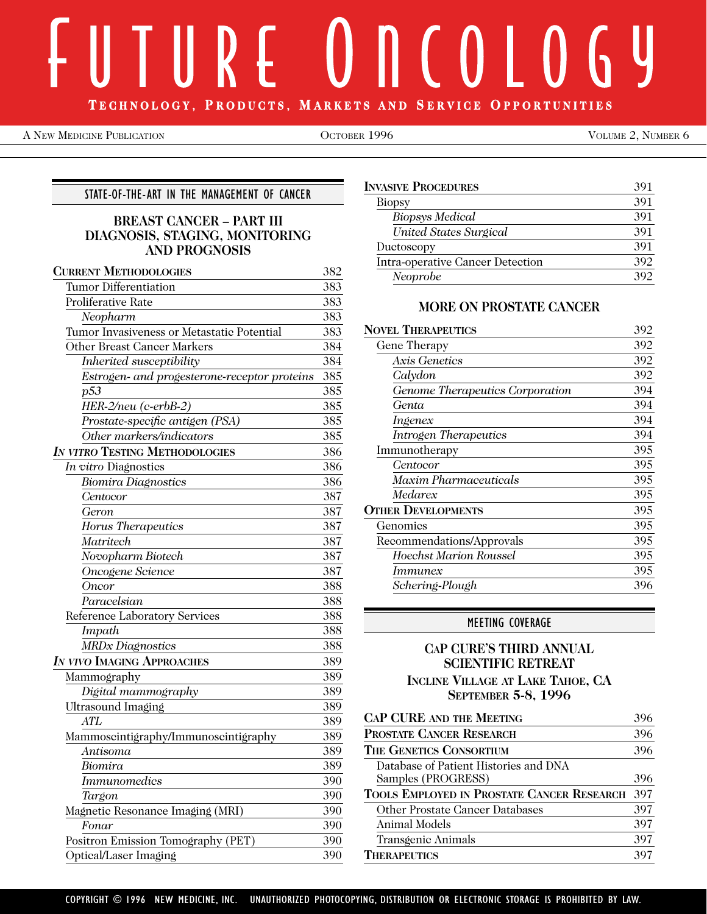# $\parallel$  R f  $\parallel$  $\mathsf{n} \in \mathsf{O}$  $\Box$  () (, y **T ECHNOLOGY, P RODUCTS, M A RKETS AND S ERVICE O PPORTUNITIES**

A NEW MEDICINE PUBLICATION COLORER 1996 CONSERVED BY OLUME 2, NUMBER 6

## STATE-OF-THE-ART IN THE MANAGEMENT OF CANCER

## **BREAST CANCER – PART III DIAGNOSIS, STAGING, MONITORING AND PROGNOSIS**

| <b>CURRENT METHODOLOGIES</b>                 | 382 |
|----------------------------------------------|-----|
| <b>Tumor Differentiation</b>                 | 383 |
| Proliferative Rate                           | 383 |
| Neopharm                                     | 383 |
| Tumor Invasiveness or Metastatic Potential   | 383 |
| <b>Other Breast Cancer Markers</b>           | 384 |
| Inherited susceptibility                     | 384 |
| Estrogen- and progesterone-receptor proteins | 385 |
| p53                                          | 385 |
| HER-2/neu (c-erbB-2)                         | 385 |
| Prostate-specific antigen (PSA)              | 385 |
| Other markers/indicators                     | 385 |
| <b>IN VITRO TESTING METHODOLOGIES</b>        | 386 |
| In vitro Diagnostics                         | 386 |
| Biomira Diagnostics                          | 386 |
| Centocor                                     | 387 |
| Geron                                        | 387 |
| Horus Therapeutics                           | 387 |
| Matritech                                    | 387 |
| Novopharm Biotech                            | 387 |
| Oncogene Science                             | 387 |
| Oncor                                        | 388 |
| Paracelsian                                  | 388 |
| Reference Laboratory Services                | 388 |
| Impath                                       | 388 |
| <b>MRDx Diagnostics</b>                      | 388 |
| IN VIVO IMAGING APPROACHES                   | 389 |
| Mammography                                  | 389 |
| Digital mammography                          | 389 |
| Ultrasound Imaging                           | 389 |
| <b>ATL</b>                                   | 389 |
| Mammoscintigraphy/Immunoscintigraphy         | 389 |
| Antisoma                                     | 389 |
| Biomira                                      | 389 |
| <b>Immunomedics</b>                          | 390 |
| Targon                                       | 390 |
| Magnetic Resonance Imaging (MRI)             | 390 |
| Fonar                                        | 390 |
| Positron Emission Tomography (PET)           | 390 |
| Optical/Laser Imaging                        | 390 |

| <b>INVASIVE PROCEDURES</b>       | 391 |
|----------------------------------|-----|
| <b>Biopsy</b>                    | 391 |
| <b>Biopsys Medical</b>           | 391 |
| United States Surgical           | 391 |
| Ductoscopy                       | 391 |
| Intra-operative Cancer Detection | 392 |
| Neoprobe                         | 392 |

## **MORE ON PROSTATE CANCER**

| <b>NOVEL THERAPEUTICS</b>       | 392 |
|---------------------------------|-----|
| Gene Therapy                    | 392 |
| Axis Genetics                   | 392 |
| Calydon                         | 392 |
| Genome Therapeutics Corporation | 394 |
| Genta                           | 394 |
| <i>Ingenex</i>                  | 394 |
| <b>Introgen Therapeutics</b>    | 394 |
| Immunotherapy                   | 395 |
| Centocor                        | 395 |
| Maxim Pharmaceuticals           | 395 |
| Medarex                         | 395 |
| <b>OTHER DEVELOPMENTS</b>       | 395 |
| Genomics                        | 395 |
| Recommendations/Approvals       | 395 |
| Hoechst Marion Roussel          | 395 |
| <i>Immunex</i>                  | 395 |
| Schering-Plough                 | 396 |
|                                 |     |

## MEETING COVERAGE

## **CAP CURE'S THIRD ANNUAL SCIENTIFIC RETREAT INCLINE VILLAGE AT LAKE TAHOE, CA SEPTEMBER 5-8, 1996**

| <b>CAP CURE AND THE MEETING</b>            | 396 |
|--------------------------------------------|-----|
| <b>PROSTATE CANCER RESEARCH</b>            | 396 |
| THE GENETICS CONSORTIUM                    | 396 |
| Database of Patient Histories and DNA      |     |
| Samples (PROGRESS)                         | 396 |
| TOOLS EMPLOYED IN PROSTATE CANCER RESEARCH | 397 |
| <b>Other Prostate Cancer Databases</b>     | 397 |
| Animal Models                              | 397 |
| Transgenic Animals                         | 397 |
| <b>THERAPEUTICS</b>                        | 397 |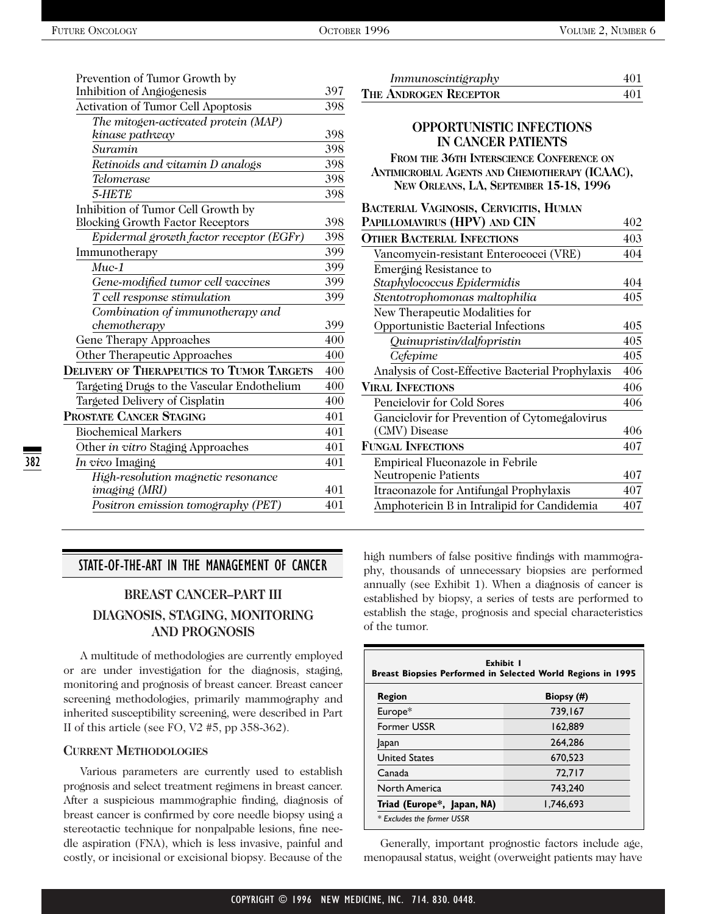382

| Prevention of Tumor Growth by                    |     |
|--------------------------------------------------|-----|
| Inhibition of Angiogenesis                       | 397 |
| Activation of Tumor Cell Apoptosis               | 398 |
| The mitogen-activated protein (MAP)              |     |
| kinase pathway                                   | 398 |
| Suramin                                          | 398 |
| Retinoids and vitamin D analogs                  | 398 |
| Telomerase                                       | 398 |
| 5-HETE                                           | 398 |
| Inhibition of Tumor Cell Growth by               |     |
| <b>Blocking Growth Factor Receptors</b>          | 398 |
| Epidermal growth factor receptor (EGFr)          | 398 |
| Immunotherapy                                    | 399 |
| $Muc-1$                                          | 399 |
| Gene-modified tumor cell vaccines                | 399 |
| T cell response stimulation                      | 399 |
| Combination of immunotherapy and                 |     |
| chemotherapy                                     | 399 |
| Gene Therapy Approaches                          | 400 |
| Other Therapeutic Approaches                     | 400 |
| <b>DELIVERY OF THERAPEUTICS TO TUMOR TARGETS</b> | 400 |
| Targeting Drugs to the Vascular Endothelium      | 400 |
| Targeted Delivery of Cisplatin                   | 400 |
| PROSTATE CANCER STAGING                          | 401 |
| <b>Biochemical Markers</b>                       | 401 |
| Other in vitro Staging Approaches                | 401 |
| In vivo Imaging                                  | 401 |
| High-resolution magnetic resonance               |     |
| imaging (MRI)                                    | 401 |
| Positron emission tomography (PET)               | 401 |
|                                                  |     |

## STATE-OF-THE-ART IN THE MANAGEMENT OF CANCER

## **BREAST CANCER–PART III DIAGNOSIS, STAGING, MONITORING AND PROGNOSIS**

A multitude of methodologies are currently employed or are under investigation for the diagnosis, staging, monitoring and prognosis of breast cancer. Breast cancer screening methodologies, primarily mammography and inherited susceptibility screening, were described in Part II of this article (see FO, V2 #5, pp 358-362).

#### **CURRENT METHODOLOGIES**

Various parameters are currently used to establish prognosis and select treatment regimens in breast cancer. After a suspicious mammographic finding, diagnosis of breast cancer is confirmed by core needle biopsy using a stereotactic technique for nonpalpable lesions, fine needle aspiration (FNA), which is less invasive, painful and costly, or incisional or excisional biopsy. Because of the

| Immunoscintigraphy                                                                                                                                                                                   | 401 |
|------------------------------------------------------------------------------------------------------------------------------------------------------------------------------------------------------|-----|
| THE ANDROGEN RECEPTOR                                                                                                                                                                                | 401 |
| <b>OPPORTUNISTIC INFECTIONS</b><br><b>IN CANCER PATIENTS</b><br>FROM THE 36TH INTERSCIENCE CONFERENCE ON<br>ANTIMICROBIAL AGENTS AND CHEMOTHERAPY (ICAAC),<br>NEW ORLEANS, LA, SEPTEMBER 15-18, 1996 |     |
| BACTERIAL VAGINOSIS, CERVICITIS, HUMAN                                                                                                                                                               |     |
| PAPILLOMAVIRUS (HPV) AND CIN                                                                                                                                                                         | 402 |
| <b>OTHER BACTERIAL INFECTIONS</b>                                                                                                                                                                    | 403 |
| Vancomycin-resistant Enterococci (VRE)                                                                                                                                                               | 404 |
| Emerging Resistance to                                                                                                                                                                               |     |
| Staphylococcus Epidermidis                                                                                                                                                                           | 404 |
| Stentotrophomonas maltophilia                                                                                                                                                                        | 405 |
| New Therapeutic Modalities for                                                                                                                                                                       |     |
| Opportunistic Bacterial Infections                                                                                                                                                                   | 405 |
| Quinupristin/dalfopristin                                                                                                                                                                            | 405 |
| Cefepime                                                                                                                                                                                             | 405 |
| Analysis of Cost-Effective Bacterial Prophylaxis                                                                                                                                                     | 406 |
| <b>VIRAL INFECTIONS</b>                                                                                                                                                                              | 406 |
| Penciclovir for Cold Sores                                                                                                                                                                           | 406 |
| Ganciclovir for Prevention of Cytomegalovirus                                                                                                                                                        |     |
| (CMV) Disease                                                                                                                                                                                        | 406 |
| <b>FUNGAL INFECTIONS</b>                                                                                                                                                                             | 407 |
| Empirical Fluconazole in Febrile                                                                                                                                                                     |     |
| Neutropenic Patients                                                                                                                                                                                 | 407 |
| Itraeonazole for Antifungal Prophylaxis                                                                                                                                                              | 407 |
| Amphotericin B in Intralipid for Candidemia                                                                                                                                                          | 407 |
|                                                                                                                                                                                                      |     |

high numbers of false positive findings with mammography, thousands of unnecessary biopsies are performed annually (see Exhibit 1). When a diagnosis of cancer is established by biopsy, a series of tests are performed to establish the stage, prognosis and special characteristics of the tumor.

| Region                     | Biopsy (#) |
|----------------------------|------------|
| Europe*                    | 739.167    |
| Former USSR                | 162.889    |
| <b>Japan</b>               | 264,286    |
| <b>United States</b>       | 670.523    |
| Canada                     | 72,717     |
| North America              | 743,240    |
| Triad (Europe*, Japan, NA) | 1,746,693  |

Generally, important prognostic factors include age, menopausal status, weight (overweight patients may have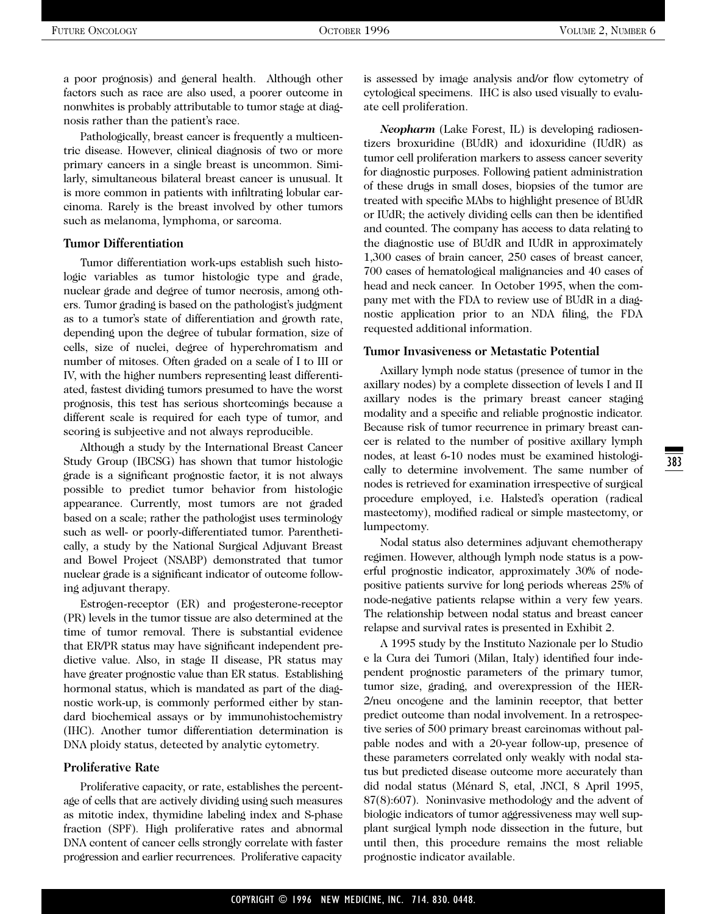a poor prognosis) and general health. Although other factors such as race are also used, a poorer outcome in nonwhites is probably attributable to tumor stage at diagnosis rather than the patient's race.

Pathologically, breast cancer is frequently a multicentric disease. However, clinical diagnosis of two or more primary cancers in a single breast is uncommon. Similarly, simultaneous bilateral breast cancer is unusual. It is more common in patients with infiltrating lobular carcinoma. Rarely is the breast involved by other tumors such as melanoma, lymphoma, or sarcoma.

#### **Tumor Differentiation**

Tumor differentiation work-ups establish such histologic variables as tumor histologic type and grade, nuclear grade and degree of tumor necrosis, among others. Tumor grading is based on the pathologist's judgment as to a tumor's state of differentiation and growth rate, depending upon the degree of tubular formation, size of cells, size of nuclei, degree of hyperchromatism and number of mitoses. Often graded on a scale of I to III or IV, with the higher numbers representing least differentiated, fastest dividing tumors presumed to have the worst prognosis, this test has serious shortcomings because a different scale is required for each type of tumor, and scoring is subjective and not always reproducible.

Although a study by the International Breast Cancer Study Group (IBCSG) has shown that tumor histologic grade is a significant prognostic factor, it is not always possible to predict tumor behavior from histologic appearance. Currently, most tumors are not graded based on a scale; rather the pathologist uses terminology such as well- or poorly-differentiated tumor. Parenthetically, a study by the National Surgical Adjuvant Breast and Bowel Project (NSABP) demonstrated that tumor nuclear grade is a significant indicator of outcome following adjuvant therapy.

Estrogen-receptor (ER) and progesterone-receptor (PR) levels in the tumor tissue are also determined at the time of tumor removal. There is substantial evidence that ER/PR status may have significant independent predictive value. Also, in stage II disease, PR status may have greater prognostic value than ER status. Establishing hormonal status, which is mandated as part of the diagnostic work-up, is commonly performed either by standard biochemical assays or by immunohistochemistry (IHC). Another tumor differentiation determination is DNA ploidy status, detected by analytic cytometry.

#### **Proliferative Rate**

Proliferative capacity, or rate, establishes the percentage of cells that are actively dividing using such measures as mitotic index, thymidine labeling index and S-phase fraction (SPF). High proliferative rates and abnormal DNA content of cancer cells strongly correlate with faster progression and earlier recurrences. Proliferative capacity is assessed by image analysis and/or flow cytometry of cytological specimens. IHC is also used visually to evaluate cell proliferation.

*Neopharm* (Lake Forest, IL) is developing radiosentizers broxuridine (BUdR) and idoxuridine (IUdR) as tumor cell proliferation markers to assess cancer severity for diagnostic purposes. Following patient administration of these drugs in small doses, biopsies of the tumor are treated with specific MAbs to highlight presence of BUdR or IUdR; the actively dividing cells can then be identified and counted. The company has access to data relating to the diagnostic use of BUdR and IUdR in approximately 1,300 cases of brain cancer, 250 cases of breast cancer, 700 cases of hematological malignancies and 40 cases of head and neck cancer. In October 1995, when the company met with the FDA to review use of BUdR in a diagnostic application prior to an NDA filing, the FDA requested additional information.

#### **Tumor Invasiveness or Metastatic Potential**

Axillary lymph node status (presence of tumor in the axillary nodes) by a complete dissection of levels I and II axillary nodes is the primary breast cancer staging modality and a specific and reliable prognostic indicator. Because risk of tumor recurrence in primary breast cancer is related to the number of positive axillary lymph nodes, at least 6-10 nodes must be examined histologically to determine involvement. The same number of nodes is retrieved for examination irrespective of surgical procedure employed, i.e. Halsted's operation (radical mastectomy), modified radical or simple mastectomy, or lumpectomy.

Nodal status also determines adjuvant chemotherapy regimen. However, although lymph node status is a powerful prognostic indicator, approximately 30% of nodepositive patients survive for long periods whereas 25% of node-negative patients relapse within a very few years. The relationship between nodal status and breast cancer relapse and survival rates is presented in Exhibit 2.

A 1995 study by the Instituto Nazionale per lo Studio e la Cura dei Tumori (Milan, Italy) identified four independent prognostic parameters of the primary tumor, tumor size, grading, and overexpression of the HER-2/neu oncogene and the laminin receptor, that better predict outcome than nodal involvement. In a retrospective series of 500 primary breast carcinomas without palpable nodes and with a 20-year follow-up, presence of these parameters correlated only weakly with nodal status but predicted disease outcome more accurately than did nodal status (Ménard S, etal, JNCI, 8 April 1995, 87(8):607). Noninvasive methodology and the advent of biologic indicators of tumor aggressiveness may well supplant surgical lymph node dissection in the future, but until then, this procedure remains the most reliable prognostic indicator available.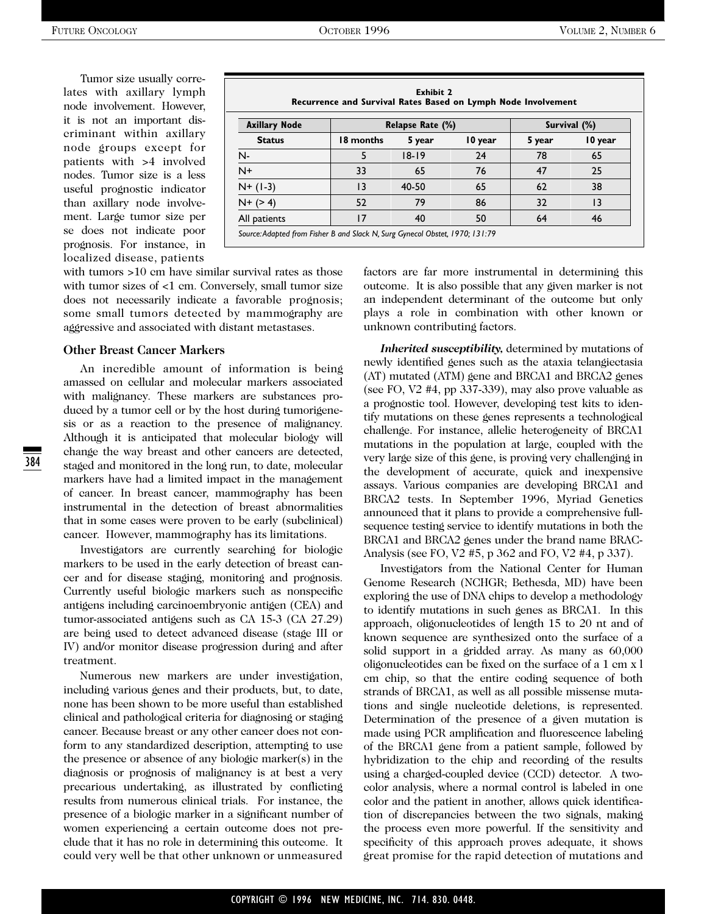Tumor size usually correlates with axillary lymph node involvement. However, it is not an important discriminant within axillary node groups except for patients with >4 involved nodes. Tumor size is a less useful prognostic indicator than axillary node involvement. Large tumor size per se does not indicate poor prognosis. For instance, in localized disease, patients

**Exhibit 2 Recurrence and Survival Rates Based on Lymph Node Involvement** Axillary Node  $\begin{array}{|c|c|c|c|c|}\n\hline\n\end{array}$  Relapse Rate (%) **Survival (%) Status 18 months 5 year 10 year 5 year 10 year** N- 5 18-19 24 78 65 N+ 33 65 76 47 25 N+ (1-3) 13 40-50 65 62 38 N+ (> 4) | 52 79 86 | 32 13 All patients 17 40 50 64 46 *Source:Adapted from Fisher B and Slack N, Surg Gynecol Obstet, 1970; 131:79*

with tumors >10 cm have similar survival rates as those with tumor sizes of <1 cm. Conversely, small tumor size does not necessarily indicate a favorable prognosis; some small tumors detected by mammography are aggressive and associated with distant metastases.

#### **Other Breast Cancer Markers**

An incredible amount of information is being amassed on cellular and molecular markers associated with malignancy. These markers are substances produced by a tumor cell or by the host during tumorigenesis or as a reaction to the presence of malignancy. Although it is anticipated that molecular biology will change the way breast and other cancers are detected, staged and monitored in the long run, to date, molecular markers have had a limited impact in the management of cancer. In breast cancer, mammography has been instrumental in the detection of breast abnormalities that in some cases were proven to be early (subclinical) cancer. However, mammography has its limitations.

Investigators are currently searching for biologic markers to be used in the early detection of breast cancer and for disease staging, monitoring and prognosis. Currently useful biologic markers such as nonspecific antigens including carcinoembryonic antigen (CEA) and tumor-associated antigens such as CA 15-3 (CA 27.29) are being used to detect advanced disease (stage III or IV) and/or monitor disease progression during and after treatment.

Numerous new markers are under investigation, including various genes and their products, but, to date, none has been shown to be more useful than established clinical and pathological criteria for diagnosing or staging cancer. Because breast or any other cancer does not conform to any standardized description, attempting to use the presence or absence of any biologic marker(s) in the diagnosis or prognosis of malignancy is at best a very precarious undertaking, as illustrated by conflicting results from numerous clinical trials. For instance, the presence of a biologic marker in a significant number of women experiencing a certain outcome does not preclude that it has no role in determining this outcome. It could very well be that other unknown or unmeasured factors are far more instrumental in determining this outcome. It is also possible that any given marker is not an independent determinant of the outcome but only plays a role in combination with other known or unknown contributing factors.

*Inherited susceptibility,* determined by mutations of newly identified genes such as the ataxia telangiectasia (AT) mutated (ATM) gene and BRCA1 and BRCA2 genes (see FO, V2 #4, pp 337-339), may also prove valuable as a prognostic tool. However, developing test kits to identify mutations on these genes represents a technological challenge. For instance, allelic heterogeneity of BRCA1 mutations in the population at large, coupled with the very large size of this gene, is proving very challenging in the development of accurate, quick and inexpensive assays. Various companies are developing BRCA1 and BRCA2 tests. In September 1996, Myriad Genetics announced that it plans to provide a comprehensive fullsequence testing service to identify mutations in both the BRCA1 and BRCA2 genes under the brand name BRAC-Analysis (see FO, V2 #5, p 362 and FO, V2 #4, p 337).

Investigators from the National Center for Human Genome Research (NCHGR; Bethesda, MD) have been exploring the use of DNA chips to develop a methodology to identify mutations in such genes as BRCA1. In this approach, oligonucleotides of length 15 to 20 nt and of known sequence are synthesized onto the surface of a solid support in a gridded array. As many as 60,000 oligonucleotides can be fixed on the surface of a 1 cm x l cm chip, so that the entire coding sequence of both strands of BRCA1, as well as all possible missense mutations and single nucleotide deletions, is represented. Determination of the presence of a given mutation is made using PCR amplification and fluorescence labeling of the BRCA1 gene from a patient sample, followed by hybridization to the chip and recording of the results using a charged-coupled device (CCD) detector. A twocolor analysis, where a normal control is labeled in one color and the patient in another, allows quick identification of discrepancies between the two signals, making the process even more powerful. If the sensitivity and specificity of this approach proves adequate, it shows great promise for the rapid detection of mutations and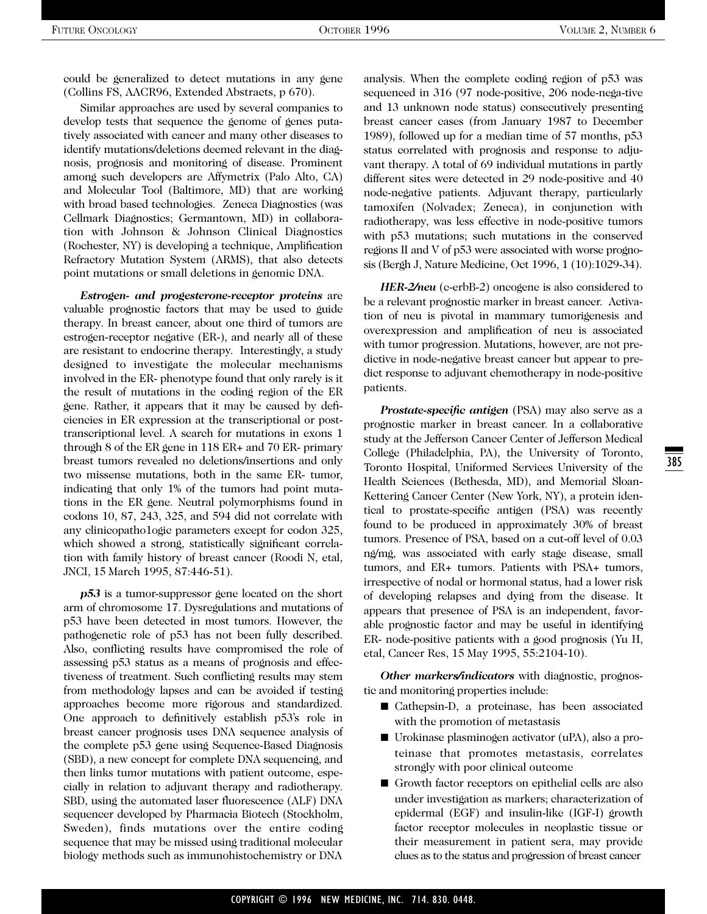could be generalized to detect mutations in any gene (Collins FS, AACR96, Extended Abstracts, p 670).

Similar approaches are used by several companies to develop tests that sequence the genome of genes putatively associated with cancer and many other diseases to identify mutations/deletions deemed relevant in the diagnosis, prognosis and monitoring of disease. Prominent among such developers are Affymetrix (Palo Alto, CA) and Molecular Tool (Baltimore, MD) that are working with broad based technologies. Zeneca Diagnostics (was Cellmark Diagnostics; Germantown, MD) in collaboration with Johnson & Johnson Clinical Diagnostics (Rochester, NY) is developing a technique, Amplification Refractory Mutation System (ARMS), that also detects point mutations or small deletions in genomic DNA.

*Estrogen- and progesterone-receptor proteins* are valuable prognostic factors that may be used to guide therapy. In breast cancer, about one third of tumors are estrogen-receptor negative (ER-), and nearly all of these are resistant to endocrine therapy. Interestingly, a study designed to investigate the molecular mechanisms involved in the ER- phenotype found that only rarely is it the result of mutations in the coding region of the ER gene. Rather, it appears that it may be caused by deficiencies in ER expression at the transcriptional or posttranscriptional level. A search for mutations in exons 1 through 8 of the ER gene in 118 ER+ and 70 ER- primary breast tumors revealed no deletions/insertions and only two missense mutations, both in the same ER- tumor, indicating that only 1% of the tumors had point mutations in the ER gene. Neutral polymorphisms found in codons 10, 87, 243, 325, and 594 did not correlate with any clinicopatho1ogic parameters except for codon 325, which showed a strong, statistically significant correlation with family history of breast cancer (Roodi N, etal, JNCI, 15 March 1995, 87:446-51).

*p53* is a tumor-suppressor gene located on the short arm of chromosome 17. Dysregulations and mutations of p53 have been detected in most tumors. However, the pathogenetic role of p53 has not been fully described. Also, conflicting results have compromised the role of assessing p53 status as a means of prognosis and effectiveness of treatment. Such conflicting results may stem from methodology lapses and can be avoided if testing approaches become more rigorous and standardized. One approach to definitively establish p53's role in breast cancer prognosis uses DNA sequence analysis of the complete p53 gene using Sequence-Based Diagnosis (SBD), a new concept for complete DNA sequencing, and then links tumor mutations with patient outcome, especially in relation to adjuvant therapy and radiotherapy. SBD, using the automated laser fluorescence (ALF) DNA sequencer developed by Pharmacia Biotech (Stockholm, Sweden), finds mutations over the entire coding sequence that may be missed using traditional molecular biology methods such as immunohistochemistry or DNA analysis. When the complete coding region of p53 was sequenced in 316 (97 node-positive, 206 node-nega-tive and 13 unknown node status) consecutively presenting breast cancer cases (from January 1987 to December 1989), followed up for a median time of 57 months, p53 status correlated with prognosis and response to adjuvant therapy. A total of 69 individual mutations in partly different sites were detected in 29 node-positive and 40 node-negative patients. Adjuvant therapy, particularly tamoxifen (Nolvadex; Zeneca), in conjunction with radiotherapy, was less effective in node-positive tumors with p53 mutations; such mutations in the conserved regions II and V of p53 were associated with worse prognosis (Bergh J, Nature Medicine, Oct 1996, 1 (10):1029-34).

*HER-2/neu* (c-erbB-2) oncogene is also considered to be a relevant prognostic marker in breast cancer. Activation of neu is pivotal in mammary tumorigenesis and overexpression and amplification of neu is associated with tumor progression. Mutations, however, are not predictive in node-negative breast cancer but appear to predict response to adjuvant chemotherapy in node-positive patients.

*Prostate-specific antigen (PSA)* may also serve as a prognostic marker in breast cancer. In a collaborative study at the Jefferson Cancer Center of Jefferson Medical College (Philadelphia, PA), the University of Toronto, Toronto Hospital, Uniformed Services University of the Health Sciences (Bethesda, MD), and Memorial Sloan-Kettering Cancer Center (New York, NY), a protein identical to prostate-specific antigen (PSA) was recently found to be produced in approximately 30% of breast tumors. Presence of PSA, based on a cut-off level of 0.03 ng/mg, was associated with early stage disease, small tumors, and ER+ tumors. Patients with PSA+ tumors, irrespective of nodal or hormonal status, had a lower risk of developing relapses and dying from the disease. It appears that presence of PSA is an independent, favorable prognostic factor and may be useful in identifying ER- node-positive patients with a good prognosis (Yu H, etal, Cancer Res, 15 May 1995, 55:2104-10).

*Other markers/indicators* with diagnostic, prognostic and monitoring properties include:

- Cathepsin-D, a proteinase, has been associated with the promotion of metastasis
- Urokinase plasminogen activator (uPA), also a proteinase that promotes metastasis, correlates strongly with poor clinical outcome
- Growth factor receptors on epithelial cells are also under investigation as markers; characterization of epidermal (EGF) and insulin-like (IGF-I) growth factor receptor molecules in neoplastic tissue or their measurement in patient sera, may provide clues as to the status and progression of breast cancer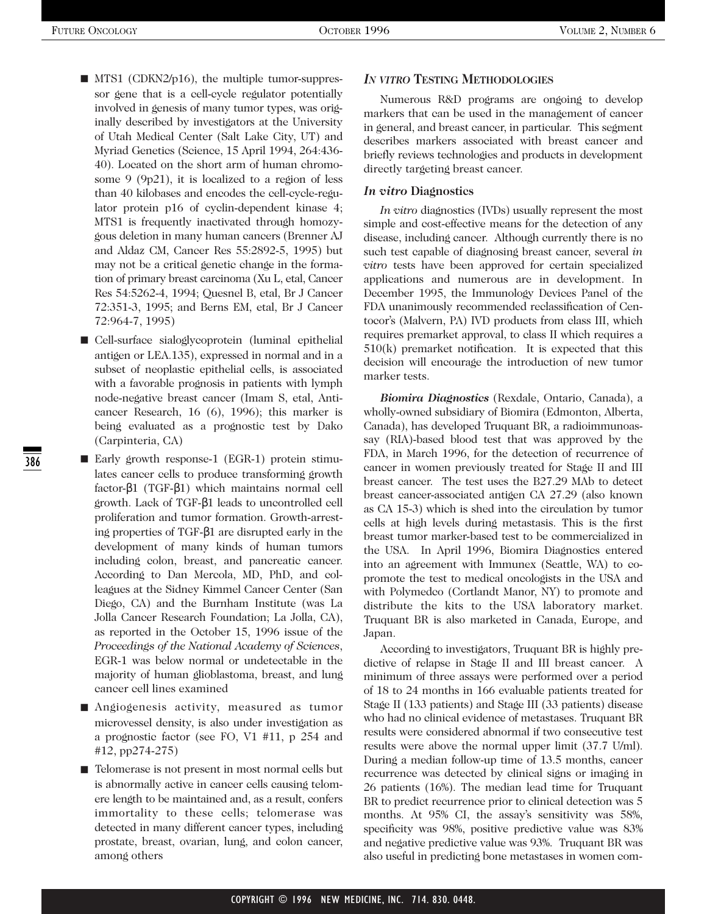- MTS1 (CDKN2/p16), the multiple tumor-suppressor gene that is a cell-cycle regulator potentially involved in genesis of many tumor types, was originally described by investigators at the University of Utah Medical Center (Salt Lake City, UT) and Myriad Genetics (Science, 15 April 1994, 264:436- 40). Located on the short arm of human chromosome 9 (9p21), it is localized to a region of less than 40 kilobases and encodes the cell-cycle-regulator protein p16 of cyclin-dependent kinase 4; MTS1 is frequently inactivated through homozygous deletion in many human cancers (Brenner AJ and Aldaz CM, Cancer Res 55:2892-5, 1995) but may not be a critical genetic change in the formation of primary breast carcinoma (Xu L, etal, Cancer Res 54:5262-4, 1994; Quesnel B, etal, Br J Cancer 72:351-3, 1995; and Berns EM, etal, Br J Cancer 72:964-7, 1995)
- Cell-surface sialoglycoprotein (luminal epithelial antigen or LEA.135), expressed in normal and in a subset of neoplastic epithelial cells, is associated with a favorable prognosis in patients with lymph node-negative breast cancer (Imam S, etal, Anticancer Research, 16 (6), 1996); this marker is being evaluated as a prognostic test by Dako (Carpinteria, CA)
- Early growth response-1 (EGR-1) protein stimulates cancer cells to produce transforming growth factor-β1 (TGF-β1) which maintains normal cell growth. Lack of TGF-β1 leads to uncontrolled cell proliferation and tumor formation. Growth-arresting properties of TGF-β1 are disrupted early in the development of many kinds of human tumors including colon, breast, and pancreatic cancer. According to Dan Mercola, MD, PhD, and colleagues at the Sidney Kimmel Cancer Center (San Diego, CA) and the Burnham Institute (was La Jolla Cancer Research Foundation; La Jolla, CA), as reported in the October 15, 1996 issue of the *Proceedings of the National Academy of Sciences*, EGR-1 was below normal or undetectable in the majority of human glioblastoma, breast, and lung cancer cell lines examined
- Angiogenesis activity, measured as tumor microvessel density, is also under investigation as a prognostic factor (see FO, V1 #11, p 254 and #12, pp274-275)
- Telomerase is not present in most normal cells but is abnormally active in cancer cells causing telomere length to be maintained and, as a result, confers immortality to these cells; telomerase was detected in many different cancer types, including prostate, breast, ovarian, lung, and colon cancer, among others

#### *IN VITRO* **TESTING METHODOLOGIES**

Numerous R&D programs are ongoing to develop markers that can be used in the management of cancer in general, and breast cancer, in particular. This segment describes markers associated with breast cancer and briefly reviews technologies and products in development directly targeting breast cancer.

#### *In vitro* **Diagnostics**

*In vitro* diagnostics (IVDs) usually represent the most simple and cost-effective means for the detection of any disease, including cancer. Although currently there is no such test capable of diagnosing breast cancer, several *in vitro* tests have been approved for certain specialized applications and numerous are in development. In December 1995, the Immunology Devices Panel of the FDA unanimously recommended reclassification of Centocor's (Malvern, PA) IVD products from class III, which requires premarket approval, to class II which requires a 510(k) premarket notification. It is expected that this decision will encourage the introduction of new tumor marker tests.

*Biomira Diagnostics* (Rexdale, Ontario, Canada), a wholly-owned subsidiary of Biomira (Edmonton, Alberta, Canada), has developed Truquant BR, a radioimmunoassay (RIA)-based blood test that was approved by the FDA, in March 1996, for the detection of recurrence of cancer in women previously treated for Stage II and III breast cancer. The test uses the B27.29 MAb to detect breast cancer-associated antigen CA 27.29 (also known as CA 15-3) which is shed into the circulation by tumor cells at high levels during metastasis. This is the first breast tumor marker-based test to be commercialized in the USA. In April 1996, Biomira Diagnostics entered into an agreement with Immunex (Seattle, WA) to copromote the test to medical oncologists in the USA and with Polymedco (Cortlandt Manor, NY) to promote and distribute the kits to the USA laboratory market. Truquant BR is also marketed in Canada, Europe, and Japan.

According to investigators, Truquant BR is highly predictive of relapse in Stage II and III breast cancer. A minimum of three assays were performed over a period of 18 to 24 months in 166 evaluable patients treated for Stage II (133 patients) and Stage III (33 patients) disease who had no clinical evidence of metastases. Truquant BR results were considered abnormal if two consecutive test results were above the normal upper limit (37.7 U/ml). During a median follow-up time of 13.5 months, cancer recurrence was detected by clinical signs or imaging in 26 patients (16%). The median lead time for Truquant BR to predict recurrence prior to clinical detection was 5 months. At 95% CI, the assay's sensitivity was 58%, specificity was 98%, positive predictive value was 83% and negative predictive value was 93%. Truquant BR was also useful in predicting bone metastases in women com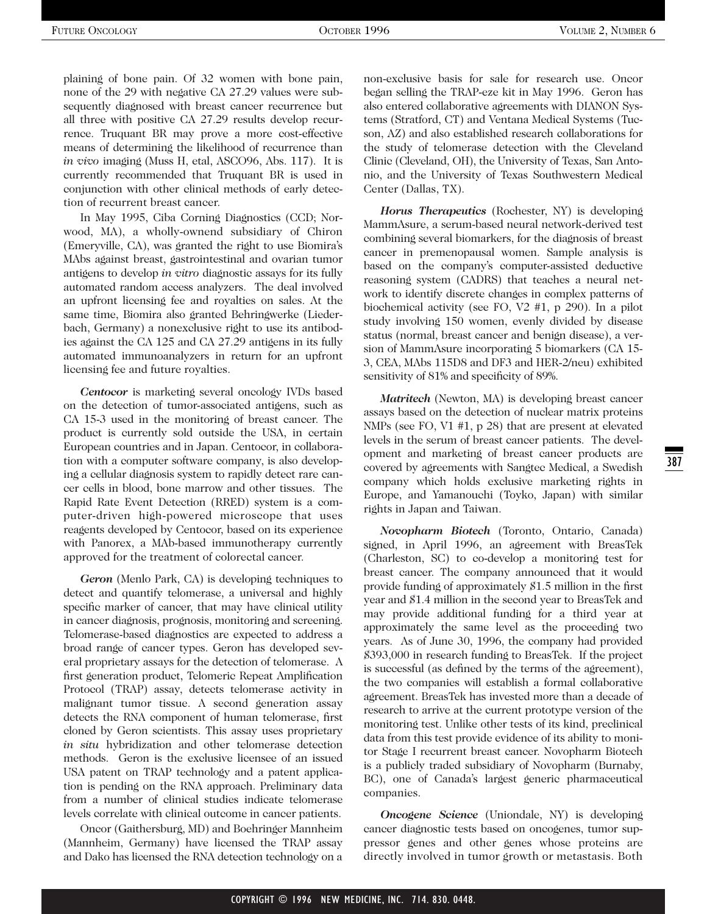plaining of bone pain. Of 32 women with bone pain, none of the 29 with negative CA 27.29 values were subsequently diagnosed with breast cancer recurrence but all three with positive CA 27.29 results develop recurrence. Truquant BR may prove a more cost-effective means of determining the likelihood of recurrence than *in vivo* imaging (Muss H, etal, ASCO96, Abs. 117). It is currently recommended that Truquant BR is used in conjunction with other clinical methods of early detection of recurrent breast cancer.

In May 1995, Ciba Corning Diagnostics (CCD; Norwood, MA), a wholly-ownend subsidiary of Chiron (Emeryville, CA), was granted the right to use Biomira's MAbs against breast, gastrointestinal and ovarian tumor antigens to develop *in vitro* diagnostic assays for its fully automated random access analyzers. The deal involved an upfront licensing fee and royalties on sales. At the same time, Biomira also granted Behringwerke (Liederbach, Germany) a nonexclusive right to use its antibodies against the CA 125 and CA 27.29 antigens in its fully automated immunoanalyzers in return for an upfront licensing fee and future royalties.

*Centocor* is marketing several oncology IVDs based on the detection of tumor-associated antigens, such as CA 15-3 used in the monitoring of breast cancer. The product is currently sold outside the USA, in certain European countries and in Japan. Centocor, in collaboration with a computer software company, is also developing a cellular diagnosis system to rapidly detect rare cancer cells in blood, bone marrow and other tissues. The Rapid Rate Event Detection (RRED) system is a computer-driven high-powered microscope that uses reagents developed by Centocor, based on its experience with Panorex, a MAb-based immunotherapy currently approved for the treatment of colorectal cancer.

*Geron* (Menlo Park, CA) is developing techniques to detect and quantify telomerase, a universal and highly specific marker of cancer, that may have clinical utility in cancer diagnosis, prognosis, monitoring and screening. Telomerase-based diagnostics are expected to address a broad range of cancer types. Geron has developed several proprietary assays for the detection of telomerase. A first generation product, Telomeric Repeat Amplification Protocol (TRAP) assay, detects telomerase activity in malignant tumor tissue. A second generation assay detects the RNA component of human telomerase, first cloned by Geron scientists. This assay uses proprietary *in situ* hybridization and other telomerase detection methods. Geron is the exclusive licensee of an issued USA patent on TRAP technology and a patent application is pending on the RNA approach. Preliminary data from a number of clinical studies indicate telomerase levels correlate with clinical outcome in cancer patients.

Oncor (Gaithersburg, MD) and Boehringer Mannheim (Mannheim, Germany) have licensed the TRAP assay and Dako has licensed the RNA detection technology on a non-exclusive basis for sale for research use. Oncor began selling the TRAP-eze kit in May 1996. Geron has also entered collaborative agreements with DIANON Systems (Stratford, CT) and Ventana Medical Systems (Tucson, AZ) and also established research collaborations for the study of telomerase detection with the Cleveland Clinic (Cleveland, OH), the University of Texas, San Antonio, and the University of Texas Southwestern Medical Center (Dallas, TX).

*Horus Therapeutics* (Rochester, NY) is developing MammAsure, a serum-based neural network-derived test combining several biomarkers, for the diagnosis of breast cancer in premenopausal women. Sample analysis is based on the company's computer-assisted deductive reasoning system (CADRS) that teaches a neural network to identify discrete changes in complex patterns of biochemical activity (see FO, V2 #1, p 290). In a pilot study involving 150 women, evenly divided by disease status (normal, breast cancer and benign disease), a version of MammAsure incorporating 5 biomarkers (CA 15- 3, CEA, MAbs 115D8 and DF3 and HER-2/neu) exhibited sensitivity of 81% and specificity of 89%.

*Matritech* (Newton, MA) is developing breast cancer assays based on the detection of nuclear matrix proteins NMPs (see FO, V1 #1, p 28) that are present at elevated levels in the serum of breast cancer patients. The development and marketing of breast cancer products are covered by agreements with Sangtec Medical, a Swedish company which holds exclusive marketing rights in Europe, and Yamanouchi (Toyko, Japan) with similar rights in Japan and Taiwan.

*Novopharm Biotech* (Toronto, Ontario, Canada) signed, in April 1996, an agreement with BreasTek (Charleston, SC) to co-develop a monitoring test for breast cancer. The company announced that it would provide funding of approximately \$1.5 million in the first year and \$1.4 million in the second year to BreasTek and may provide additional funding for a third year at approximately the same level as the proceeding two years. As of June 30, 1996, the company had provided \$393,000 in research funding to BreasTek. If the project is successful (as defined by the terms of the agreement), the two companies will establish a formal collaborative agreement. BreasTek has invested more than a decade of research to arrive at the current prototype version of the monitoring test. Unlike other tests of its kind, preclinical data from this test provide evidence of its ability to monitor Stage I recurrent breast cancer. Novopharm Biotech is a publicly traded subsidiary of Novopharm (Burnaby, BC), one of Canada's largest generic pharmaceutical companies.

*Oncogene Science* (Uniondale, NY) is developing cancer diagnostic tests based on oncogenes, tumor suppressor genes and other genes whose proteins are directly involved in tumor growth or metastasis. Both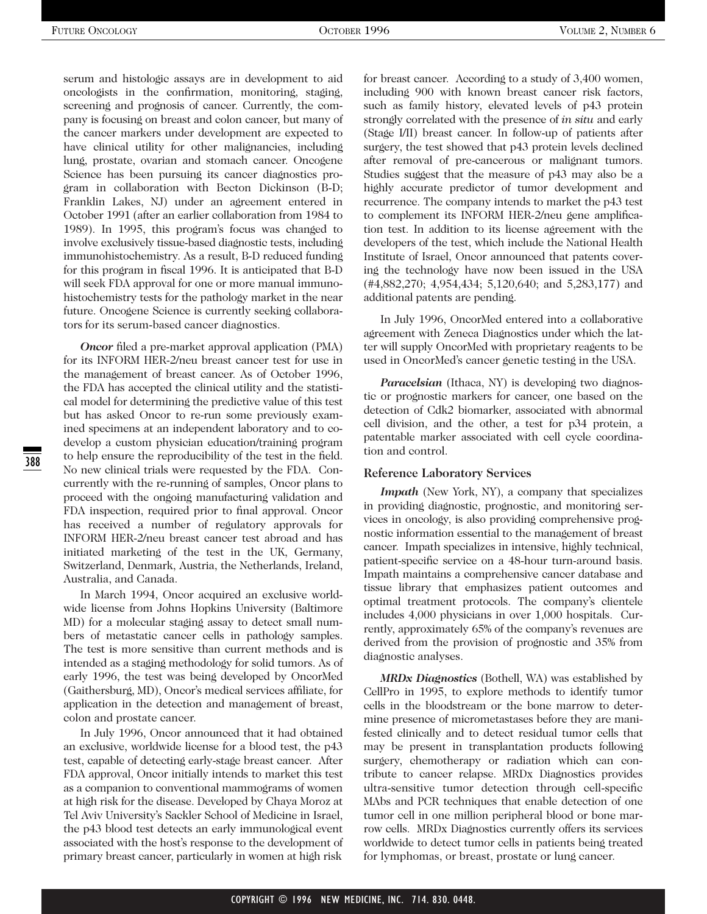serum and histologic assays are in development to aid oncologists in the confirmation, monitoring, staging, screening and prognosis of cancer. Currently, the company is focusing on breast and colon cancer, but many of the cancer markers under development are expected to have clinical utility for other malignancies, including lung, prostate, ovarian and stomach cancer. Oncogene Science has been pursuing its cancer diagnostics program in collaboration with Becton Dickinson (B-D; Franklin Lakes, NJ) under an agreement entered in October 1991 (after an earlier collaboration from 1984 to 1989). In 1995, this program's focus was changed to involve exclusively tissue-based diagnostic tests, including immunohistochemistry. As a result, B-D reduced funding for this program in fiscal 1996. It is anticipated that B-D will seek FDA approval for one or more manual immunohistochemistry tests for the pathology market in the near future. Oncogene Science is currently seeking collaborators for its serum-based cancer diagnostics.

*Oncor* filed a pre-market approval application (PMA) for its INFORM HER-2/neu breast cancer test for use in the management of breast cancer. As of October 1996, the FDA has accepted the clinical utility and the statistical model for determining the predictive value of this test but has asked Oncor to re-run some previously examined specimens at an independent laboratory and to codevelop a custom physician education/training program to help ensure the reproducibility of the test in the field. No new clinical trials were requested by the FDA. Concurrently with the re-running of samples, Oncor plans to proceed with the ongoing manufacturing validation and FDA inspection, required prior to final approval. Oncor has received a number of regulatory approvals for INFORM HER-2/neu breast cancer test abroad and has initiated marketing of the test in the UK, Germany, Switzerland, Denmark, Austria, the Netherlands, Ireland, Australia, and Canada.

In March 1994, Oncor acquired an exclusive worldwide license from Johns Hopkins University (Baltimore MD) for a molecular staging assay to detect small numbers of metastatic cancer cells in pathology samples. The test is more sensitive than current methods and is intended as a staging methodology for solid tumors. As of early 1996, the test was being developed by OncorMed (Gaithersburg, MD), Oncor's medical services affiliate, for application in the detection and management of breast, colon and prostate cancer.

In July 1996, Oncor announced that it had obtained an exclusive, worldwide license for a blood test, the p43 test, capable of detecting early-stage breast cancer. After FDA approval, Oncor initially intends to market this test as a companion to conventional mammograms of women at high risk for the disease. Developed by Chaya Moroz at Tel Aviv University's Sackler School of Medicine in Israel, the p43 blood test detects an early immunological event associated with the host's response to the development of primary breast cancer, particularly in women at high risk for breast cancer. According to a study of 3,400 women, including 900 with known breast cancer risk factors, such as family history, elevated levels of p43 protein strongly correlated with the presence of *in situ* and early (Stage I/II) breast cancer. In follow-up of patients after surgery, the test showed that p43 protein levels declined after removal of pre-cancerous or malignant tumors. Studies suggest that the measure of p43 may also be a highly accurate predictor of tumor development and recurrence. The company intends to market the p43 test to complement its INFORM HER-2/neu gene amplification test. In addition to its license agreement with the developers of the test, which include the National Health Institute of Israel, Oncor announced that patents covering the technology have now been issued in the USA (#4,882,270; 4,954,434; 5,120,640; and 5,283,177) and additional patents are pending.

In July 1996, OncorMed entered into a collaborative agreement with Zeneca Diagnostics under which the latter will supply OncorMed with proprietary reagents to be used in OncorMed's cancer genetic testing in the USA.

*Paracelsian* (Ithaca, NY) is developing two diagnostic or prognostic markers for cancer, one based on the detection of Cdk2 biomarker, associated with abnormal cell division, and the other, a test for p34 protein, a patentable marker associated with cell cycle coordination and control.

#### **Reference Laboratory Services**

*Impath* (New York, NY), a company that specializes in providing diagnostic, prognostic, and monitoring services in oncology, is also providing comprehensive prognostic information essential to the management of breast cancer. Impath specializes in intensive, highly technical, patient-specific service on a 48-hour turn-around basis. Impath maintains a comprehensive cancer database and tissue library that emphasizes patient outcomes and optimal treatment protocols. The company's clientele includes 4,000 physicians in over 1,000 hospitals. Currently, approximately 65% of the company's revenues are derived from the provision of prognostic and 35% from diagnostic analyses.

*MRDx Diagnostics* (Bothell, WA) was established by CellPro in 1995, to explore methods to identify tumor cells in the bloodstream or the bone marrow to determine presence of micrometastases before they are manifested clinically and to detect residual tumor cells that may be present in transplantation products following surgery, chemotherapy or radiation which can contribute to cancer relapse. MRDx Diagnostics provides ultra-sensitive tumor detection through cell-specific MAbs and PCR techniques that enable detection of one tumor cell in one million peripheral blood or bone marrow cells. MRDx Diagnostics currently offers its services worldwide to detect tumor cells in patients being treated for lymphomas, or breast, prostate or lung cancer.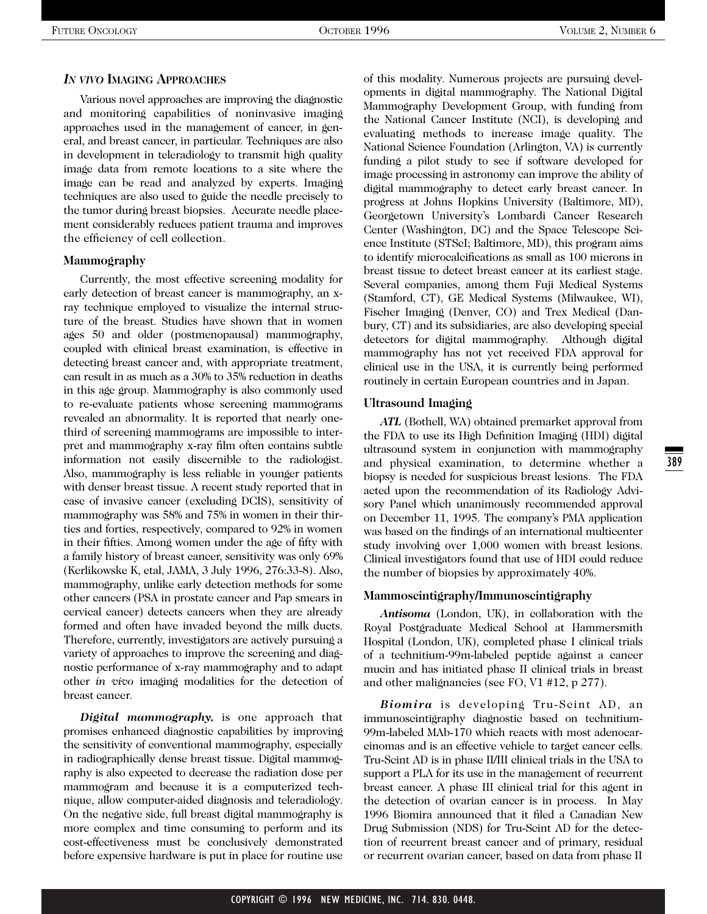#### *IN VIVO* **IMAGING APPROACHES**

Various novel approaches are improving the diagnostic and monitoring capabilities of noninvasive imaging approaches used in the management of cancer, in general, and breast cancer, in particular. Techniques are also in development in teleradiology to transmit high quality image data from remote locations to a site where the image can be read and analyzed by experts. Imaging techniques are also used to guide the needle precisely to the tumor during breast biopsies. Accurate needle placement considerably reduces patient trauma and improves the efficiency of cell collection.

#### **Mammography**

Currently, the most effective screening modality for early detection of breast cancer is mammography, an xray technique employed to visualize the internal structure of the breast. Studies have shown that in women ages 50 and older (postmenopausal) mammography, coupled with clinical breast examination, is effective in detecting breast cancer and, with appropriate treatment, can result in as much as a 30% to 35% reduction in deaths in this age group. Mammography is also commonly used to re-evaluate patients whose screening mammograms revealed an abnormality. It is reported that nearly onethird of screening mammograms are impossible to interpret and mammography x-ray film often contains subtle information not easily discernible to the radiologist. Also, mammography is less reliable in younger patients with denser breast tissue. A recent study reported that in case of invasive cancer (excluding DCIS), sensitivity of mammography was 58% and 75% in women in their thirties and forties, respectively, compared to 92% in women in their fifties. Among women under the age of fifty with a family history of breast cancer, sensitivity was only 69% (Kerlikowske K, etal, JAMA, 3 July 1996, 276:33-8). Also, mammography, unlike early detection methods for some other cancers (PSA in prostate cancer and Pap smears in cervical cancer) detects cancers when they are already formed and often have invaded beyond the milk ducts. Therefore, currently, investigators are actively pursuing a variety of approaches to improve the screening and diagnostic performance of x-ray mammography and to adapt other *in vivo* imaging modalities for the detection of breast cancer.

*Digital mammography,* is one approach that promises enhanced diagnostic capabilities by improving the sensitivity of conventional mammography, especially in radiographically dense breast tissue. Digital mammography is also expected to decrease the radiation dose per mammogram and because it is a computerized technique, allow computer-aided diagnosis and teleradiology. On the negative side, full breast digital mammography is more complex and time consuming to perform and its cost-effectiveness must be conclusively demonstrated before expensive hardware is put in place for routine use of this modality. Numerous projects are pursuing developments in digital mammography. The National Digital Mammography Development Group, with funding from the National Cancer Institute (NCI), is developing and evaluating methods to increase image quality. The National Science Foundation (Arlington, VA) is currently funding a pilot study to see if software developed for image processing in astronomy can improve the ability of digital mammography to detect early breast cancer. In progress at Johns Hopkins University (Baltimore, MD), Georgetown University's Lombardi Cancer Research Center (Washington, DC) and the Space Telescope Science Institute (STScI; Baltimore, MD), this program aims to identify microcalcifications as small as 100 microns in breast tissue to detect breast cancer at its earliest stage. Several companies, among them Fuji Medical Systems (Stamford, CT), GE Medical Systems (Milwaukee, WI), Fischer Imaging (Denver, CO) and Trex Medical (Danbury, CT) and its subsidiaries, are also developing special detectors for digital mammography. Although digital mammography has not yet received FDA approval for clinical use in the USA, it is currently being performed routinely in certain European countries and in Japan.

#### **Ultrasound Imaging**

*ATL* (Bothell, WA) obtained premarket approval from the FDA to use its High Definition Imaging (HDI) digital ultrasound system in conjunction with mammography and physical examination, to determine whether a biopsy is needed for suspicious breast lesions. The FDA acted upon the recommendation of its Radiology Advisory Panel which unanimously recommended approval on December 11, 1995. The company's PMA application was based on the findings of an international multicenter study involving over 1,000 women with breast lesions. Clinical investigators found that use of HDI could reduce the number of biopsies by approximately 40%.

#### **Mammoscintigraphy/Immunoscintigraphy**

*Antisoma* (London, UK), in collaboration with the Royal Postgraduate Medical School at Hammersmith Hospital (London, UK), completed phase I clinical trials of a technitium-99m-labeled peptide against a cancer mucin and has initiated phase II clinical trials in breast and other malignancies (see FO, V1 #12, p 277).

*Biomira* is developing Tru-Scint AD, an immunoscintigraphy diagnostic based on technitium-99m-labeled MAb-170 which reacts with most adenocarcinomas and is an effective vehicle to target cancer cells. Tru-Scint AD is in phase II/III clinical trials in the USA to support a PLA for its use in the management of recurrent breast cancer. A phase III clinical trial for this agent in the detection of ovarian cancer is in process. In May 1996 Biomira announced that it filed a Canadian New Drug Submission (NDS) for Tru-Scint AD for the detection of recurrent breast cancer and of primary, residual or recurrent ovarian cancer, based on data from phase II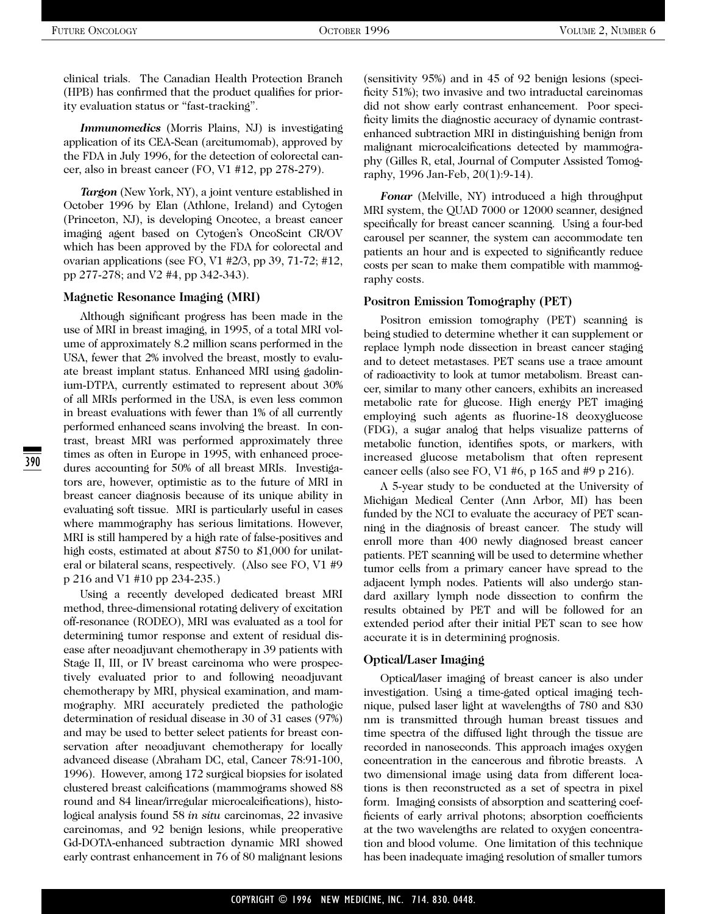clinical trials. The Canadian Health Protection Branch (HPB) has confirmed that the product qualifies for priority evaluation status or "fast-tracking".

*Immunomedics* (Morris Plains, NJ) is investigating application of its CEA-Scan (arcitumomab), approved by the FDA in July 1996, for the detection of colorectal cancer, also in breast cancer (FO, V1 #12, pp 278-279).

*Targon* (New York, NY), a joint venture established in October 1996 by Elan (Athlone, Ireland) and Cytogen (Princeton, NJ), is developing Oncotec, a breast cancer imaging agent based on Cytogen's OncoScint CR/OV which has been approved by the FDA for colorectal and ovarian applications (see FO, V1 #2/3, pp 39, 71-72; #12, pp 277-278; and V2 #4, pp 342-343).

#### **Magnetic Resonance Imaging (MRI)**

Although significant progress has been made in the use of MRI in breast imaging, in 1995, of a total MRI volume of approximately 8.2 million scans performed in the USA, fewer that 2% involved the breast, mostly to evaluate breast implant status. Enhanced MRI using gadolinium-DTPA, currently estimated to represent about 30% of all MRIs performed in the USA, is even less common in breast evaluations with fewer than 1% of all currently performed enhanced scans involving the breast. In contrast, breast MRI was performed approximately three times as often in Europe in 1995, with enhanced procedures accounting for 50% of all breast MRIs. Investigators are, however, optimistic as to the future of MRI in breast cancer diagnosis because of its unique ability in evaluating soft tissue. MRI is particularly useful in cases where mammography has serious limitations. However, MRI is still hampered by a high rate of false-positives and high costs, estimated at about \$750 to \$1,000 for unilateral or bilateral scans, respectively. (Also see FO, V1 #9 p 216 and V1 #10 pp 234-235.)

Using a recently developed dedicated breast MRI method, three-dimensional rotating delivery of excitation off-resonance (RODEO), MRI was evaluated as a tool for determining tumor response and extent of residual disease after neoadjuvant chemotherapy in 39 patients with Stage II, III, or IV breast carcinoma who were prospectively evaluated prior to and following neoadjuvant chemotherapy by MRI, physical examination, and mammography. MRI accurately predicted the pathologic determination of residual disease in 30 of 31 cases (97%) and may be used to better select patients for breast conservation after neoadjuvant chemotherapy for locally advanced disease (Abraham DC, etal, Cancer 78:91-100, 1996). However, among 172 surgical biopsies for isolated clustered breast calcifications (mammograms showed 88 round and 84 linear/irregular microcalcifications), histological analysis found 58 *in situ* carcinomas, 22 invasive carcinomas, and 92 benign lesions, while preoperative Gd-DOTA-enhanced subtraction dynamic MRI showed early contrast enhancement in 76 of 80 malignant lesions (sensitivity 95%) and in 45 of 92 benign lesions (specificity 51%); two invasive and two intraductal carcinomas did not show early contrast enhancement. Poor specificity limits the diagnostic accuracy of dynamic contrastenhanced subtraction MRI in distinguishing benign from malignant microcalcifications detected by mammography (Gilles R, etal, Journal of Computer Assisted Tomography, 1996 Jan-Feb, 20(1):9-14).

*Fonar* (Melville, NY) introduced a high throughput MRI system, the QUAD 7000 or 12000 scanner, designed specifically for breast cancer scanning. Using a four-bed carousel per scanner, the system can accommodate ten patients an hour and is expected to significantly reduce costs per scan to make them compatible with mammography costs.

#### **Positron Emission Tomography (PET)**

Positron emission tomography (PET) scanning is being studied to determine whether it can supplement or replace lymph node dissection in breast cancer staging and to detect metastases. PET scans use a trace amount of radioactivity to look at tumor metabolism. Breast cancer, similar to many other cancers, exhibits an increased metabolic rate for glucose. High energy PET imaging employing such agents as fluorine-18 deoxyglucose (FDG), a sugar analog that helps visualize patterns of metabolic function, identifies spots, or markers, with increased glucose metabolism that often represent cancer cells (also see FO, V1 #6, p 165 and #9 p 216).

A 5-year study to be conducted at the University of Michigan Medical Center (Ann Arbor, MI) has been funded by the NCI to evaluate the accuracy of PET scanning in the diagnosis of breast cancer. The study will enroll more than 400 newly diagnosed breast cancer patients. PET scanning will be used to determine whether tumor cells from a primary cancer have spread to the adjacent lymph nodes. Patients will also undergo standard axillary lymph node dissection to confirm the results obtained by PET and will be followed for an extended period after their initial PET scan to see how accurate it is in determining prognosis.

#### **Optical/Laser Imaging**

Optical/laser imaging of breast cancer is also under investigation. Using a time-gated optical imaging technique, pulsed laser light at wavelengths of 780 and 830 nm is transmitted through human breast tissues and time spectra of the diffused light through the tissue are recorded in nanoseconds. This approach images oxygen concentration in the cancerous and fibrotic breasts. A two dimensional image using data from different locations is then reconstructed as a set of spectra in pixel form. Imaging consists of absorption and scattering coefficients of early arrival photons; absorption coefficients at the two wavelengths are related to oxygen concentration and blood volume. One limitation of this technique has been inadequate imaging resolution of smaller tumors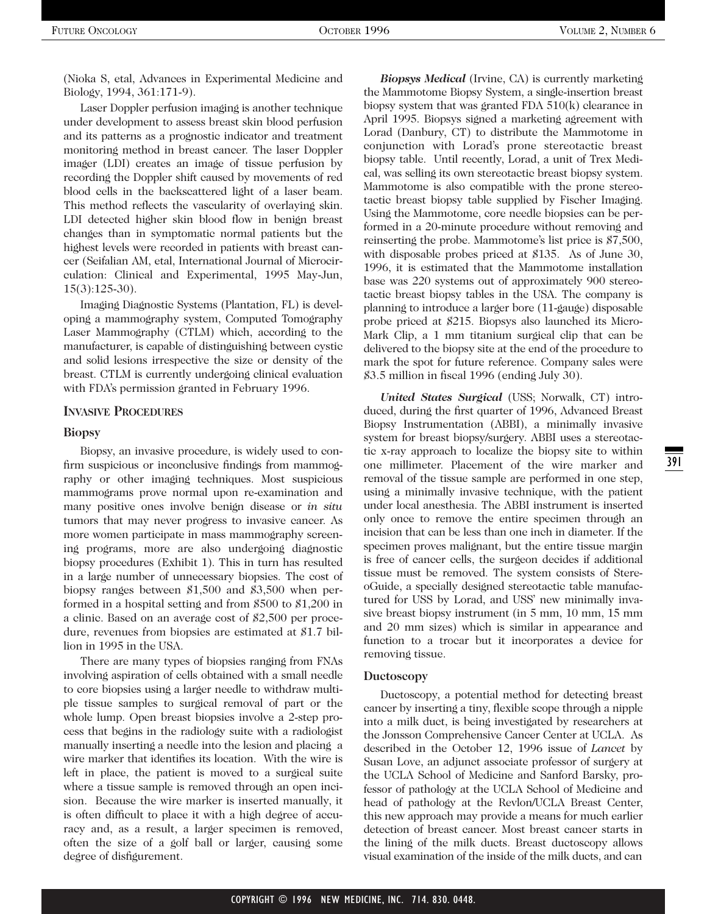(Nioka S, etal, Advances in Experimental Medicine and Biology, 1994, 361:171-9).

Laser Doppler perfusion imaging is another technique under development to assess breast skin blood perfusion and its patterns as a prognostic indicator and treatment monitoring method in breast cancer. The laser Doppler imager (LDI) creates an image of tissue perfusion by recording the Doppler shift caused by movements of red blood cells in the backscattered light of a laser beam. This method reflects the vascularity of overlaying skin. LDI detected higher skin blood flow in benign breast changes than in symptomatic normal patients but the highest levels were recorded in patients with breast cancer (Seifalian AM, etal, International Journal of Microcirculation: Clinical and Experimental, 1995 May-Jun, 15(3):125-30).

Imaging Diagnostic Systems (Plantation, FL) is developing a mammography system, Computed Tomography Laser Mammography (CTLM) which, according to the manufacturer, is capable of distinguishing between cystic and solid lesions irrespective the size or density of the breast. CTLM is currently undergoing clinical evaluation with FDA's permission granted in February 1996.

#### **INVASIVE PROCEDURES**

#### **Biopsy**

Biopsy, an invasive procedure, is widely used to confirm suspicious or inconclusive findings from mammography or other imaging techniques. Most suspicious mammograms prove normal upon re-examination and many positive ones involve benign disease or *in situ* tumors that may never progress to invasive cancer. As more women participate in mass mammography screening programs, more are also undergoing diagnostic biopsy procedures (Exhibit 1). This in turn has resulted in a large number of unnecessary biopsies. The cost of biopsy ranges between \$1,500 and \$3,500 when performed in a hospital setting and from \$500 to \$1,200 in a clinic. Based on an average cost of \$2,500 per procedure, revenues from biopsies are estimated at \$1.7 billion in 1995 in the USA.

There are many types of biopsies ranging from FNAs involving aspiration of cells obtained with a small needle to core biopsies using a larger needle to withdraw multiple tissue samples to surgical removal of part or the whole lump. Open breast biopsies involve a 2-step process that begins in the radiology suite with a radiologist manually inserting a needle into the lesion and placing a wire marker that identifies its location. With the wire is left in place, the patient is moved to a surgical suite where a tissue sample is removed through an open incision. Because the wire marker is inserted manually, it is often difficult to place it with a high degree of accuracy and, as a result, a larger specimen is removed, often the size of a golf ball or larger, causing some degree of disfigurement.

*Biopsys Medical* (Irvine, CA) is currently marketing the Mammotome Biopsy System, a single-insertion breast biopsy system that was granted FDA 510(k) clearance in April 1995. Biopsys signed a marketing agreement with Lorad (Danbury, CT) to distribute the Mammotome in conjunction with Lorad's prone stereotactic breast biopsy table. Until recently, Lorad, a unit of Trex Medical, was selling its own stereotactic breast biopsy system. Mammotome is also compatible with the prone stereotactic breast biopsy table supplied by Fischer Imaging. Using the Mammotome, core needle biopsies can be performed in a 20-minute procedure without removing and reinserting the probe. Mammotome's list price is \$7,500, with disposable probes priced at \$135. As of June 30, 1996, it is estimated that the Mammotome installation base was 220 systems out of approximately 900 stereotactic breast biopsy tables in the USA. The company is planning to introduce a larger bore (11-gauge) disposable probe priced at \$215. Biopsys also launched its Micro-Mark Clip, a 1 mm titanium surgical clip that can be delivered to the biopsy site at the end of the procedure to mark the spot for future reference. Company sales were \$3.5 million in fiscal 1996 (ending July 30).

*United States Surgical* (USS; Norwalk, CT) introduced, during the first quarter of 1996, Advanced Breast Biopsy Instrumentation (ABBI), a minimally invasive system for breast biopsy/surgery. ABBI uses a stereotactic x-ray approach to localize the biopsy site to within one millimeter. Placement of the wire marker and removal of the tissue sample are performed in one step, using a minimally invasive technique, with the patient under local anesthesia. The ABBI instrument is inserted only once to remove the entire specimen through an incision that can be less than one inch in diameter. If the specimen proves malignant, but the entire tissue margin is free of cancer cells, the surgeon decides if additional tissue must be removed. The system consists of StereoGuide, a specially designed stereotactic table manufactured for USS by Lorad, and USS' new minimally invasive breast biopsy instrument (in 5 mm, 10 mm, 15 mm and 20 mm sizes) which is similar in appearance and function to a trocar but it incorporates a device for removing tissue.

#### **Ductoscopy**

Ductoscopy, a potential method for detecting breast cancer by inserting a tiny, flexible scope through a nipple into a milk duct, is being investigated by researchers at the Jonsson Comprehensive Cancer Center at UCLA. As described in the October 12, 1996 issue of *Lancet* by Susan Love, an adjunct associate professor of surgery at the UCLA School of Medicine and Sanford Barsky, professor of pathology at the UCLA School of Medicine and head of pathology at the Revlon/UCLA Breast Center, this new approach may provide a means for much earlier detection of breast cancer. Most breast cancer starts in the lining of the milk ducts. Breast ductoscopy allows visual examination of the inside of the milk ducts, and can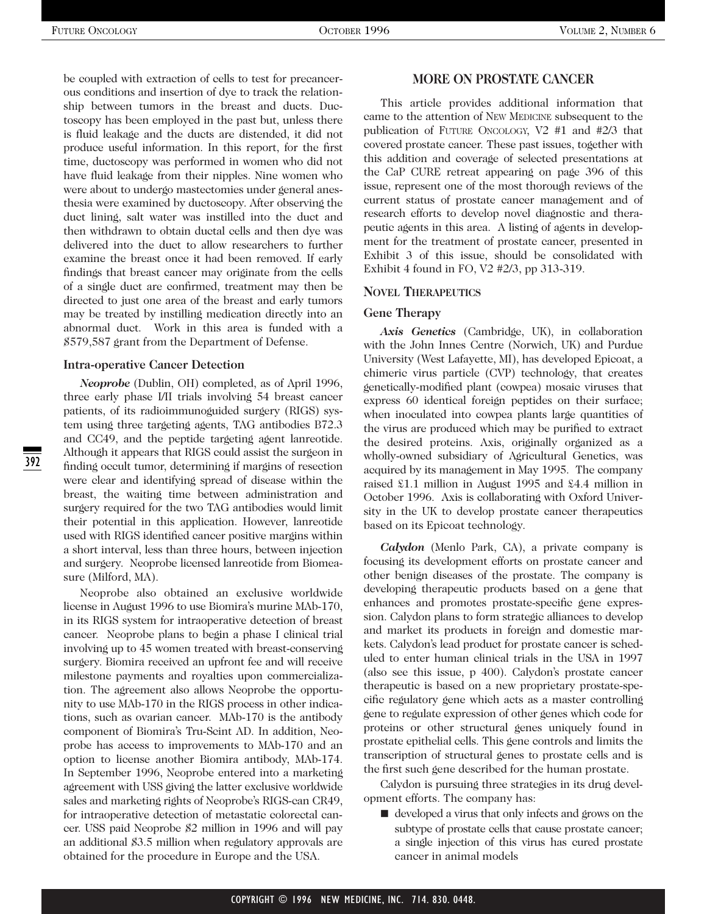be coupled with extraction of cells to test for precancerous conditions and insertion of dye to track the relationship between tumors in the breast and ducts. Ductoscopy has been employed in the past but, unless there is fluid leakage and the ducts are distended, it did not produce useful information. In this report, for the first time, ductoscopy was performed in women who did not have fluid leakage from their nipples. Nine women who were about to undergo mastectomies under general anesthesia were examined by ductoscopy. After observing the duct lining, salt water was instilled into the duct and then withdrawn to obtain ductal cells and then dye was delivered into the duct to allow researchers to further examine the breast once it had been removed. If early findings that breast cancer may originate from the cells of a single duct are confirmed, treatment may then be directed to just one area of the breast and early tumors may be treated by instilling medication directly into an abnormal duct. Work in this area is funded with a \$579,587 grant from the Department of Defense.

#### **Intra-operative Cancer Detection**

*Neoprobe* (Dublin, OH) completed, as of April 1996, three early phase I/II trials involving 54 breast cancer patients, of its radioimmunoguided surgery (RIGS) system using three targeting agents, TAG antibodies B72.3 and CC49, and the peptide targeting agent lanreotide. Although it appears that RIGS could assist the surgeon in finding occult tumor, determining if margins of resection were clear and identifying spread of disease within the breast, the waiting time between administration and surgery required for the two TAG antibodies would limit their potential in this application. However, lanreotide used with RIGS identified cancer positive margins within a short interval, less than three hours, between injection and surgery. Neoprobe licensed lanreotide from Biomeasure (Milford, MA).

Neoprobe also obtained an exclusive worldwide license in August 1996 to use Biomira's murine MAb-170, in its RIGS system for intraoperative detection of breast cancer. Neoprobe plans to begin a phase I clinical trial involving up to 45 women treated with breast-conserving surgery. Biomira received an upfront fee and will receive milestone payments and royalties upon commercialization. The agreement also allows Neoprobe the opportunity to use MAb-170 in the RIGS process in other indications, such as ovarian cancer. MAb-170 is the antibody component of Biomira's Tru-Scint AD. In addition, Neoprobe has access to improvements to MAb-170 and an option to license another Biomira antibody, MAb-174. In September 1996, Neoprobe entered into a marketing agreement with USS giving the latter exclusive worldwide sales and marketing rights of Neoprobe's RIGS-can CR49, for intraoperative detection of metastatic colorectal cancer. USS paid Neoprobe \$2 million in 1996 and will pay an additional \$3.5 million when regulatory approvals are obtained for the procedure in Europe and the USA.

#### **MORE ON PROSTATE CANCER**

This article provides additional information that came to the attention of NEW MEDICINE subsequent to the publication of FUTURE ONCOLOGY, V2 #1 and #2/3 that covered prostate cancer. These past issues, together with this addition and coverage of selected presentations at the CaP CURE retreat appearing on page 396 of this issue, represent one of the most thorough reviews of the current status of prostate cancer management and of research efforts to develop novel diagnostic and therapeutic agents in this area. A listing of agents in development for the treatment of prostate cancer, presented in Exhibit 3 of this issue, should be consolidated with Exhibit 4 found in FO, V2 #2/3, pp 313-319.

#### **NOVEL THERAPEUTICS**

#### **Gene Therapy**

Axis Genetics (Cambridge, UK), in collaboration with the John Innes Centre (Norwich, UK) and Purdue University (West Lafayette, MI), has developed Epicoat, a chimeric virus particle (CVP) technology, that creates genetically-modified plant (cowpea) mosaic viruses that express 60 identical foreign peptides on their surface; when inoculated into cowpea plants large quantities of the virus are produced which may be purified to extract the desired proteins. Axis, originally organized as a wholly-owned subsidiary of Agricultural Genetics, was acquired by its management in May 1995. The company raised £1.1 million in August 1995 and £4.4 million in October 1996. Axis is collaborating with Oxford University in the UK to develop prostate cancer therapeutics based on its Epicoat technology.

*Calydon* (Menlo Park, CA), a private company is focusing its development efforts on prostate cancer and other benign diseases of the prostate. The company is developing therapeutic products based on a gene that enhances and promotes prostate-specific gene expression. Calydon plans to form strategic alliances to develop and market its products in foreign and domestic markets. Calydon's lead product for prostate cancer is scheduled to enter human clinical trials in the USA in 1997 (also see this issue, p 400). Calydon's prostate cancer therapeutic is based on a new proprietary prostate-specific regulatory gene which acts as a master controlling gene to regulate expression of other genes which code for proteins or other structural genes uniquely found in prostate epithelial cells. This gene controls and limits the transcription of structural genes to prostate cells and is the first such gene described for the human prostate.

Calydon is pursuing three strategies in its drug development efforts. The company has:

■ developed a virus that only infects and grows on the subtype of prostate cells that cause prostate cancer; a single injection of this virus has cured prostate cancer in animal models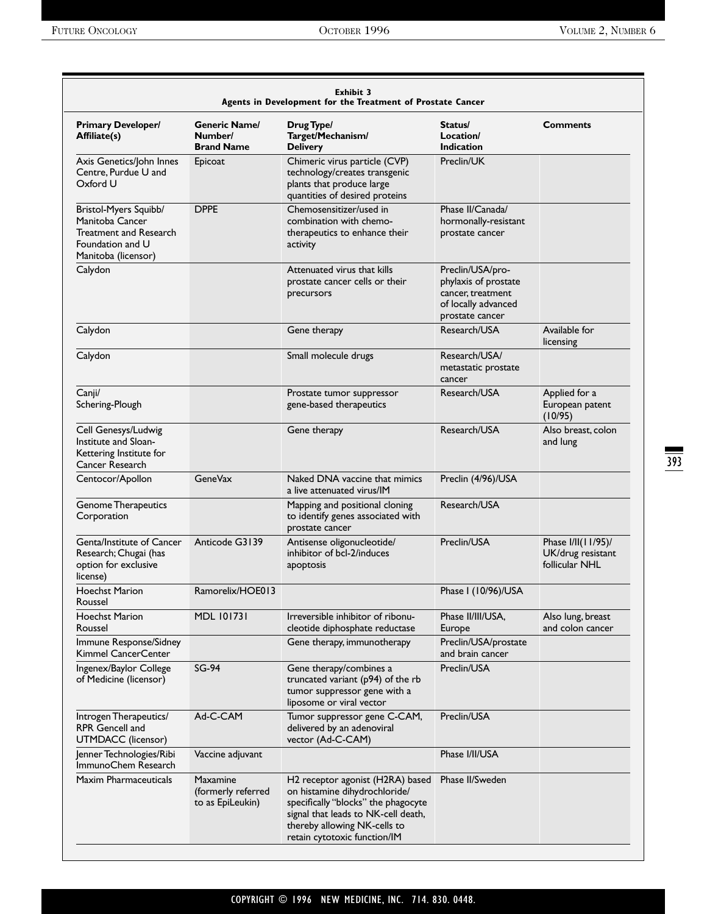|                                                                                                               |                                                      | <b>Exhibit 3</b><br>Agents in Development for the Treatment of Prostate Cancer                                                                                                                                  |                                                                                                         |                                                           |
|---------------------------------------------------------------------------------------------------------------|------------------------------------------------------|-----------------------------------------------------------------------------------------------------------------------------------------------------------------------------------------------------------------|---------------------------------------------------------------------------------------------------------|-----------------------------------------------------------|
| <b>Primary Developer/</b><br>Affiliate(s)                                                                     | <b>Generic Name/</b><br>Number/<br><b>Brand Name</b> | Drug Type/<br>Target/Mechanism/<br><b>Delivery</b>                                                                                                                                                              | Status/<br>Location/<br><b>Indication</b>                                                               | <b>Comments</b>                                           |
| Axis Genetics/John Innes<br>Centre, Purdue U and<br>Oxford U                                                  | Epicoat                                              | Chimeric virus particle (CVP)<br>technology/creates transgenic<br>plants that produce large<br>quantities of desired proteins                                                                                   | Preclin/UK                                                                                              |                                                           |
| Bristol-Myers Squibb/<br>Manitoba Cancer<br>Treatment and Research<br>Foundation and U<br>Manitoba (licensor) | <b>DPPE</b>                                          | Chemosensitizer/used in<br>combination with chemo-<br>therapeutics to enhance their<br>activity                                                                                                                 | Phase II/Canada/<br>hormonally-resistant<br>prostate cancer                                             |                                                           |
| Calydon                                                                                                       |                                                      | Attenuated virus that kills<br>prostate cancer cells or their<br>precursors                                                                                                                                     | Preclin/USA/pro-<br>phylaxis of prostate<br>cancer, treatment<br>of locally advanced<br>prostate cancer |                                                           |
| Calydon                                                                                                       |                                                      | Gene therapy                                                                                                                                                                                                    | Research/USA                                                                                            | Available for<br>licensing                                |
| Calydon                                                                                                       |                                                      | Small molecule drugs                                                                                                                                                                                            | Research/USA/<br>metastatic prostate<br>cancer                                                          |                                                           |
| Canji/<br>Schering-Plough                                                                                     |                                                      | Prostate tumor suppressor<br>gene-based therapeutics                                                                                                                                                            | Research/USA                                                                                            | Applied for a<br>European patent<br>(10/95)               |
| Cell Genesys/Ludwig<br>Institute and Sloan-<br>Kettering Institute for<br>Cancer Research                     |                                                      | Gene therapy                                                                                                                                                                                                    | Research/USA                                                                                            | Also breast, colon<br>and lung                            |
| Centocor/Apollon                                                                                              | <b>GeneVax</b>                                       | Naked DNA vaccine that mimics<br>a live attenuated virus/IM                                                                                                                                                     | Preclin (4/96)/USA                                                                                      |                                                           |
| Genome Therapeutics<br>Corporation                                                                            |                                                      | Mapping and positional cloning<br>to identify genes associated with<br>prostate cancer                                                                                                                          | Research/USA                                                                                            |                                                           |
| Genta/Institute of Cancer<br>Research; Chugai (has<br>option for exclusive<br>license)                        | Anticode G3139                                       | Antisense oligonucleotide/<br>inhibitor of bcl-2/induces<br>apoptosis                                                                                                                                           | Preclin/USA                                                                                             | Phase I/II(11/95)/<br>UK/drug resistant<br>follicular NHL |
| <b>Hoechst Marion</b><br>Roussel                                                                              | Ramorelix/HOE013                                     |                                                                                                                                                                                                                 | Phase I (10/96)/USA                                                                                     |                                                           |
| <b>Hoechst Marion</b><br>Roussel                                                                              | <b>MDL 101731</b>                                    | Irreversible inhibitor of ribonu-<br>cleotide diphosphate reductase                                                                                                                                             | Phase II/III/USA,<br>Europe                                                                             | Also lung, breast<br>and colon cancer                     |
| Immune Response/Sidney<br>Kimmel CancerCenter                                                                 |                                                      | Gene therapy, immunotherapy                                                                                                                                                                                     | Preclin/USA/prostate<br>and brain cancer                                                                |                                                           |
| Ingenex/Baylor College<br>of Medicine (licensor)                                                              | <b>SG-94</b>                                         | Gene therapy/combines a<br>truncated variant (p94) of the rb<br>tumor suppressor gene with a<br>liposome or viral vector                                                                                        | Preclin/USA                                                                                             |                                                           |
| Introgen Therapeutics/<br><b>RPR Gencell and</b><br>UTMDACC (licensor)                                        | Ad-C-CAM                                             | Tumor suppressor gene C-CAM,<br>delivered by an adenoviral<br>vector (Ad-C-CAM)                                                                                                                                 | Preclin/USA                                                                                             |                                                           |
| Jenner Technologies/Ribi<br>ImmunoChem Research                                                               | Vaccine adjuvant                                     |                                                                                                                                                                                                                 | Phase I/II/USA                                                                                          |                                                           |
| <b>Maxim Pharmaceuticals</b>                                                                                  | Maxamine<br>(formerly referred<br>to as EpiLeukin)   | H2 receptor agonist (H2RA) based<br>on histamine dihydrochloride/<br>specifically "blocks" the phagocyte<br>signal that leads to NK-cell death,<br>thereby allowing NK-cells to<br>retain cytotoxic function/IM | Phase II/Sweden                                                                                         |                                                           |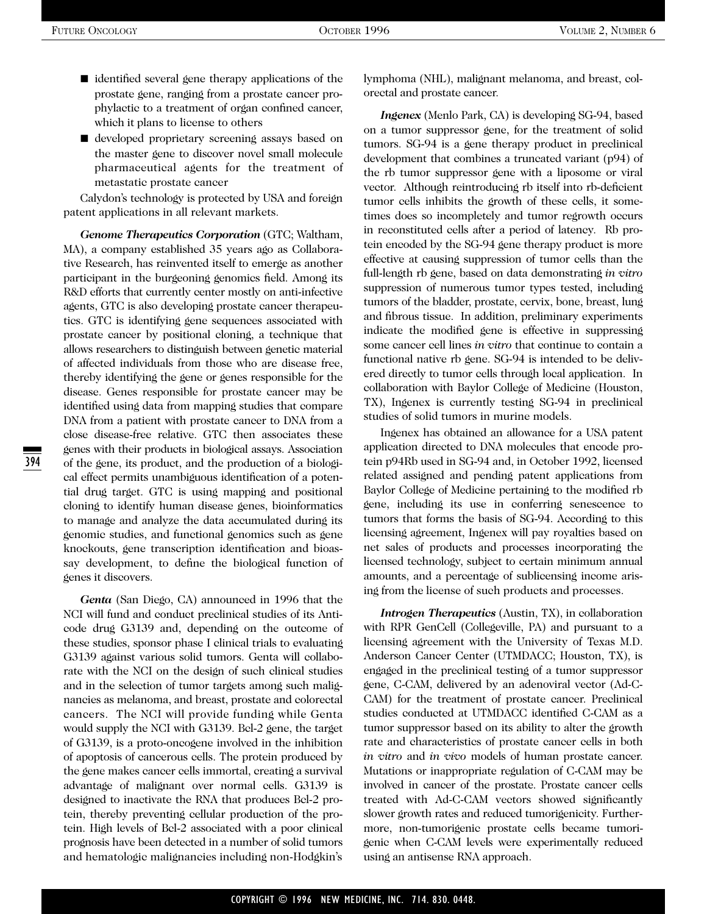- identified several gene therapy applications of the prostate gene, ranging from a prostate cancer prophylactic to a treatment of organ confined cancer, which it plans to license to others
- developed proprietary screening assays based on the master gene to discover novel small molecule pharmaceutical agents for the treatment of metastatic prostate cancer

Calydon's technology is protected by USA and foreign patent applications in all relevant markets.

*Genome Therapeutics Corporation* (GTC; Waltham, MA), a company established 35 years ago as Collaborative Research, has reinvented itself to emerge as another participant in the burgeoning genomics field. Among its R&D efforts that currently center mostly on anti-infective agents, GTC is also developing prostate cancer therapeutics. GTC is identifying gene sequences associated with prostate cancer by positional cloning, a technique that allows researchers to distinguish between genetic material of affected individuals from those who are disease free, thereby identifying the gene or genes responsible for the disease. Genes responsible for prostate cancer may be identified using data from mapping studies that compare DNA from a patient with prostate cancer to DNA from a close disease-free relative. GTC then associates these genes with their products in biological assays. Association of the gene, its product, and the production of a biological effect permits unambiguous identification of a potential drug target. GTC is using mapping and positional cloning to identify human disease genes, bioinformatics to manage and analyze the data accumulated during its genomic studies, and functional genomics such as gene knockouts, gene transcription identification and bioassay development, to define the biological function of genes it discovers.

*Genta* (San Diego, CA) announced in 1996 that the NCI will fund and conduct preclinical studies of its Anticode drug G3139 and, depending on the outcome of these studies, sponsor phase I clinical trials to evaluating G3139 against various solid tumors. Genta will collaborate with the NCI on the design of such clinical studies and in the selection of tumor targets among such malignancies as melanoma, and breast, prostate and colorectal cancers. The NCI will provide funding while Genta would supply the NCI with G3139. Bcl-2 gene, the target of G3139, is a proto-oncogene involved in the inhibition of apoptosis of cancerous cells. The protein produced by the gene makes cancer cells immortal, creating a survival advantage of malignant over normal cells. G3139 is designed to inactivate the RNA that produces Bcl-2 protein, thereby preventing cellular production of the protein. High levels of Bcl-2 associated with a poor clinical prognosis have been detected in a number of solid tumors and hematologic malignancies including non-Hodgkin's lymphoma (NHL), malignant melanoma, and breast, colorectal and prostate cancer.

*Ingenex* (Menlo Park, CA) is developing SG-94, based on a tumor suppressor gene, for the treatment of solid tumors. SG-94 is a gene therapy product in preclinical development that combines a truncated variant (p94) of the rb tumor suppressor gene with a liposome or viral vector. Although reintroducing rb itself into rb-deficient tumor cells inhibits the growth of these cells, it sometimes does so incompletely and tumor regrowth occurs in reconstituted cells after a period of latency. Rb protein encoded by the SG-94 gene therapy product is more effective at causing suppression of tumor cells than the full-length rb gene, based on data demonstrating *in vitro* suppression of numerous tumor types tested, including tumors of the bladder, prostate, cervix, bone, breast, lung and fibrous tissue. In addition, preliminary experiments indicate the modified gene is effective in suppressing some cancer cell lines *in vitro* that continue to contain a functional native rb gene. SG-94 is intended to be delivered directly to tumor cells through local application. In collaboration with Baylor College of Medicine (Houston, TX), Ingenex is currently testing SG-94 in preclinical studies of solid tumors in murine models.

Ingenex has obtained an allowance for a USA patent application directed to DNA molecules that encode protein p94Rb used in SG-94 and, in October 1992, licensed related assigned and pending patent applications from Baylor College of Medicine pertaining to the modified rb gene, including its use in conferring senescence to tumors that forms the basis of SG-94. According to this licensing agreement, Ingenex will pay royalties based on net sales of products and processes incorporating the licensed technology, subject to certain minimum annual amounts, and a percentage of sublicensing income arising from the license of such products and processes.

*Introgen Therapeutics* (Austin, TX), in collaboration with RPR GenCell (Collegeville, PA) and pursuant to a licensing agreement with the University of Texas M.D. Anderson Cancer Center (UTMDACC; Houston, TX), is engaged in the preclinical testing of a tumor suppressor gene, C-CAM, delivered by an adenoviral vector (Ad-C-CAM) for the treatment of prostate cancer. Preclinical studies conducted at UTMDACC identified C-CAM as a tumor suppressor based on its ability to alter the growth rate and characteristics of prostate cancer cells in both *in vitro* and *in vivo* models of human prostate cancer. Mutations or inappropriate regulation of C-CAM may be involved in cancer of the prostate. Prostate cancer cells treated with Ad-C-CAM vectors showed significantly slower growth rates and reduced tumorigenicity. Furthermore, non-tumorigenic prostate cells became tumorigenic when C-CAM levels were experimentally reduced using an antisense RNA approach.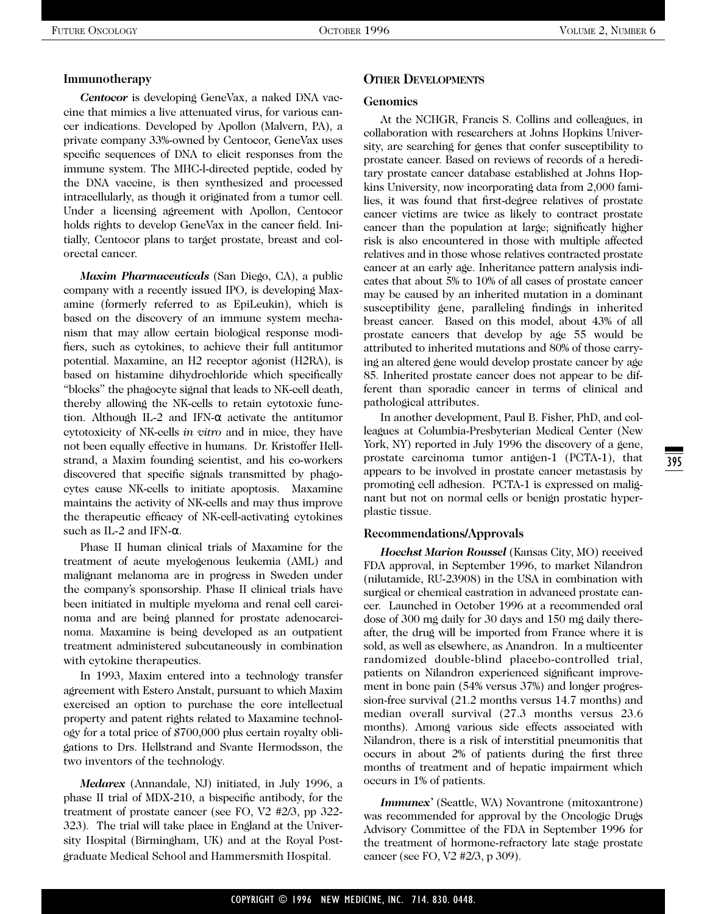#### **Immunotherapy**

*Centocor* is developing GeneVax, a naked DNA vaccine that mimics a live attenuated virus, for various cancer indications. Developed by Apollon (Malvern, PA), a private company 33%-owned by Centocor, GeneVax uses specific sequences of DNA to elicit responses from the immune system. The MHC-l-directed peptide, coded by the DNA vaccine, is then synthesized and processed intracellularly, as though it originated from a tumor cell. Under a licensing agreement with Apollon, Centocor holds rights to develop GeneVax in the cancer field. Initially, Centocor plans to target prostate, breast and colorectal cancer.

*Maxim Pharmaceuticals* (San Diego, CA), a public company with a recently issued IPO, is developing Maxamine (formerly referred to as EpiLeukin), which is based on the discovery of an immune system mechanism that may allow certain biological response modifiers, such as cytokines, to achieve their full antitumor potential. Maxamine, an H2 receptor agonist (H2RA), is based on histamine dihydrochloride which specifically "blocks" the phagocyte signal that leads to NK-cell death, thereby allowing the NK-cells to retain cytotoxic function. Although IL-2 and IFN-α activate the antitumor cytotoxicity of NK-cells *in vitro* and in mice, they have not been equally effective in humans. Dr. Kristoffer Hellstrand, a Maxim founding scientist, and his co-workers discovered that specific signals transmitted by phagocytes cause NK-cells to initiate apoptosis. Maxamine maintains the activity of NK-cells and may thus improve the therapeutic efficacy of NK-cell-activating cytokines such as IL-2 and IFN-α.

Phase II human clinical trials of Maxamine for the treatment of acute myelogenous leukemia (AML) and malignant melanoma are in progress in Sweden under the company's sponsorship. Phase II clinical trials have been initiated in multiple myeloma and renal cell carcinoma and are being planned for prostate adenocarcinoma. Maxamine is being developed as an outpatient treatment administered subcutaneously in combination with cytokine therapeutics.

In 1993, Maxim entered into a technology transfer agreement with Estero Anstalt, pursuant to which Maxim exercised an option to purchase the core intellectual property and patent rights related to Maxamine technology for a total price of \$700,000 plus certain royalty obligations to Drs. Hellstrand and Svante Hermodsson, the two inventors of the technology.

*Medarex* (Annandale, NJ) initiated, in July 1996, a phase II trial of MDX-210, a bispecific antibody, for the treatment of prostate cancer (see FO, V2 #2/3, pp 322- 323). The trial will take place in England at the University Hospital (Birmingham, UK) and at the Royal Postgraduate Medical School and Hammersmith Hospital.

### **OTHER DEVELOPMENTS**

#### **Genomics**

At the NCHGR, Francis S. Collins and colleagues, in collaboration with researchers at Johns Hopkins University, are searching for genes that confer susceptibility to prostate cancer. Based on reviews of records of a hereditary prostate cancer database established at Johns Hopkins University, now incorporating data from 2,000 families, it was found that first-degree relatives of prostate cancer victims are twice as likely to contract prostate cancer than the population at large; significatly higher risk is also encountered in those with multiple affected relatives and in those whose relatives contracted prostate cancer at an early age. Inheritance pattern analysis indicates that about 5% to 10% of all cases of prostate cancer may be caused by an inherited mutation in a dominant susceptibility gene, paralleling findings in inherited breast cancer. Based on this model, about 43% of all prostate cancers that develop by age 55 would be attributed to inherited mutations and 80% of those carrying an altered gene would develop prostate cancer by age 85. Inherited prostate cancer does not appear to be different than sporadic cancer in terms of clinical and pathological attributes.

In another development, Paul B. Fisher, PhD, and colleagues at Columbia-Presbyterian Medical Center (New York, NY) reported in July 1996 the discovery of a gene, prostate carcinoma tumor antigen-1 (PCTA-1), that appears to be involved in prostate cancer metastasis by promoting cell adhesion. PCTA-1 is expressed on malignant but not on normal cells or benign prostatic hyperplastic tissue.

#### **Recommendations/Approvals**

*Hoechst Marion Roussel* (Kansas City, MO) received FDA approval, in September 1996, to market Nilandron (nilutamide, RU-23908) in the USA in combination with surgical or chemical castration in advanced prostate cancer. Launched in October 1996 at a recommended oral dose of 300 mg daily for 30 days and 150 mg daily thereafter, the drug will be imported from France where it is sold, as well as elsewhere, as Anandron. In a multicenter randomized double-blind placebo-controlled trial, patients on Nilandron experienced significant improvement in bone pain (54% versus 37%) and longer progression-free survival (21.2 months versus 14.7 months) and median overall survival (27.3 months versus 23.6 months). Among various side effects associated with Nilandron, there is a risk of interstitial pneumonitis that occurs in about 2% of patients during the first three months of treatment and of hepatic impairment which occurs in 1% of patients.

*Immunex'* (Seattle, WA) Novantrone (mitoxantrone) was recommended for approval by the Oncologic Drugs Advisory Committee of the FDA in September 1996 for the treatment of hormone-refractory late stage prostate cancer (see FO, V2 #2/3, p 309).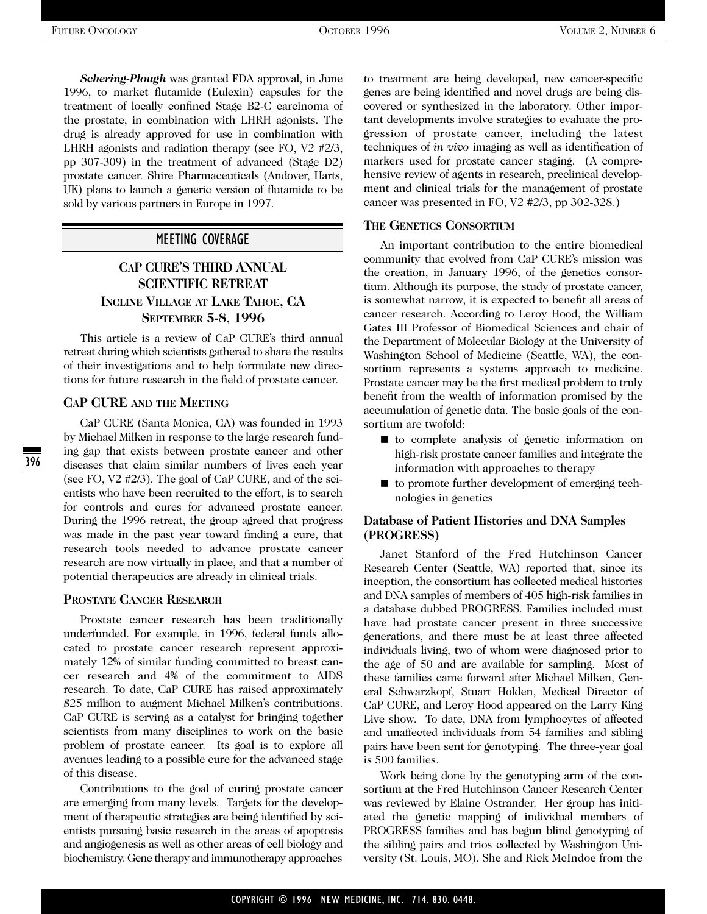*Schering-Plough* was granted FDA approval, in June 1996, to market flutamide (Eulexin) capsules for the treatment of locally confined Stage B2-C carcinoma of the prostate, in combination with LHRH agonists. The drug is already approved for use in combination with LHRH agonists and radiation therapy (see FO, V2 #2/3, pp 307-309) in the treatment of advanced (Stage D2) prostate cancer. Shire Pharmaceuticals (Andover, Harts, UK) plans to launch a generic version of flutamide to be sold by various partners in Europe in 1997.

#### MEETING COVERAGE

## **CAP CURE'S THIRD ANNUAL SCIENTIFIC RETREAT INCLINE VILLAGE AT LAKE TAHOE, CA SEPTEMBER 5-8, 1996**

This article is a review of CaP CURE's third annual retreat during which scientists gathered to share the results of their investigations and to help formulate new directions for future research in the field of prostate cancer.

#### **CAP CURE AND THE MEETING**

CaP CURE (Santa Monica, CA) was founded in 1993 by Michael Milken in response to the large research funding gap that exists between prostate cancer and other diseases that claim similar numbers of lives each year (see FO, V2 #2/3). The goal of CaP CURE, and of the scientists who have been recruited to the effort, is to search for controls and cures for advanced prostate cancer. During the 1996 retreat, the group agreed that progress was made in the past year toward finding a cure, that research tools needed to advance prostate cancer research are now virtually in place, and that a number of potential therapeutics are already in clinical trials.

#### **PROSTATE CANCER RESEARCH**

Prostate cancer research has been traditionally underfunded. For example, in 1996, federal funds allocated to prostate cancer research represent approximately 12% of similar funding committed to breast cancer research and 4% of the commitment to AIDS research. To date, CaP CURE has raised approximately \$25 million to augment Michael Milken's contributions. CaP CURE is serving as a catalyst for bringing together scientists from many disciplines to work on the basic problem of prostate cancer. Its goal is to explore all avenues leading to a possible cure for the advanced stage of this disease.

Contributions to the goal of curing prostate cancer are emerging from many levels. Targets for the development of therapeutic strategies are being identified by scientists pursuing basic research in the areas of apoptosis and angiogenesis as well as other areas of cell biology and biochemistry. Gene therapy and immunotherapy approaches to treatment are being developed, new cancer-specific genes are being identified and novel drugs are being discovered or synthesized in the laboratory. Other important developments involve strategies to evaluate the progression of prostate cancer, including the latest techniques of *in vivo* imaging as well as identification of markers used for prostate cancer staging. (A comprehensive review of agents in research, preclinical development and clinical trials for the management of prostate cancer was presented in FO, V2 #2/3, pp 302-328.)

#### **THE GENETICS CONSORTIUM**

An important contribution to the entire biomedical community that evolved from CaP CURE's mission was the creation, in January 1996, of the genetics consortium. Although its purpose, the study of prostate cancer, is somewhat narrow, it is expected to benefit all areas of cancer research. According to Leroy Hood, the William Gates III Professor of Biomedical Sciences and chair of the Department of Molecular Biology at the University of Washington School of Medicine (Seattle, WA), the consortium represents a systems approach to medicine. Prostate cancer may be the first medical problem to truly benefit from the wealth of information promised by the accumulation of genetic data. The basic goals of the consortium are twofold:

- to complete analysis of genetic information on high-risk prostate cancer families and integrate the information with approaches to therapy
- to promote further development of emerging technologies in genetics

### **Database of Patient Histories and DNA Samples (PROGRESS)**

Janet Stanford of the Fred Hutchinson Cancer Research Center (Seattle, WA) reported that, since its inception, the consortium has collected medical histories and DNA samples of members of 405 high-risk families in a database dubbed PROGRESS. Families included must have had prostate cancer present in three successive generations, and there must be at least three affected individuals living, two of whom were diagnosed prior to the age of 50 and are available for sampling. Most of these families came forward after Michael Milken, General Schwarzkopf, Stuart Holden, Medical Director of CaP CURE, and Leroy Hood appeared on the Larry King Live show. To date, DNA from lymphocytes of affected and unaffected individuals from 54 families and sibling pairs have been sent for genotyping. The three-year goal is 500 families.

Work being done by the genotyping arm of the consortium at the Fred Hutchinson Cancer Research Center was reviewed by Elaine Ostrander. Her group has initiated the genetic mapping of individual members of PROGRESS families and has begun blind genotyping of the sibling pairs and trios collected by Washington University (St. Louis, MO). She and Rick McIndoe from the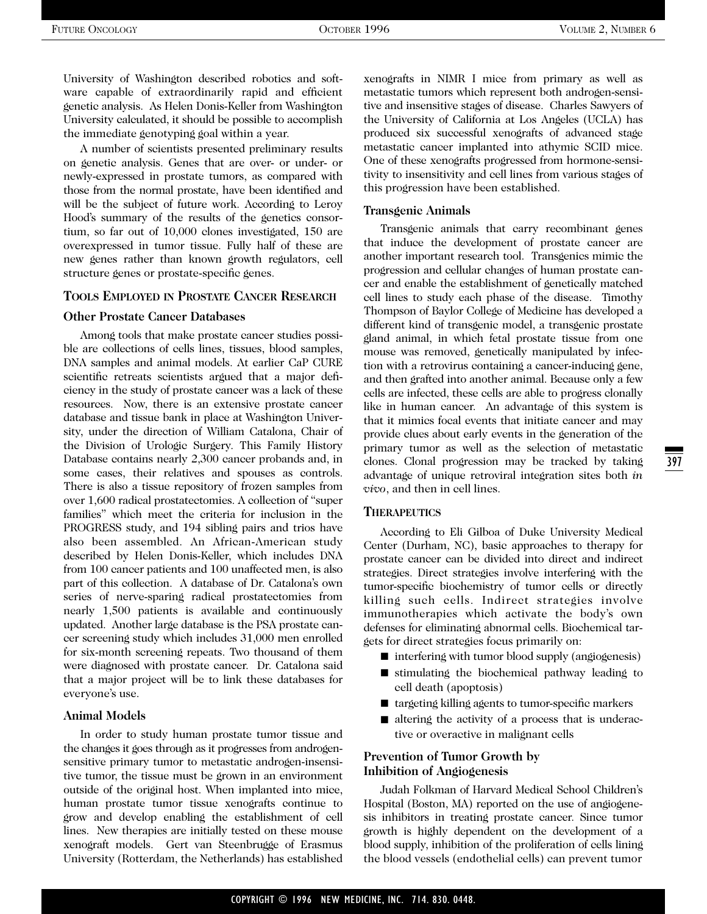397

University of Washington described robotics and software capable of extraordinarily rapid and efficient genetic analysis. As Helen Donis-Keller from Washington University calculated, it should be possible to accomplish the immediate genotyping goal within a year.

A number of scientists presented preliminary results on genetic analysis. Genes that are over- or under- or newly-expressed in prostate tumors, as compared with those from the normal prostate, have been identified and will be the subject of future work. According to Leroy Hood's summary of the results of the genetics consortium, so far out of 10,000 clones investigated, 150 are overexpressed in tumor tissue. Fully half of these are new genes rather than known growth regulators, cell structure genes or prostate-specific genes.

#### **TOOLS EMPLOYED IN PROSTATE CANCER RESEARCH**

#### **Other Prostate Cancer Databases**

Among tools that make prostate cancer studies possible are collections of cells lines, tissues, blood samples, DNA samples and animal models. At earlier CaP CURE scientific retreats scientists argued that a major deficiency in the study of prostate cancer was a lack of these resources. Now, there is an extensive prostate cancer database and tissue bank in place at Washington University, under the direction of William Catalona, Chair of the Division of Urologic Surgery. This Family History Database contains nearly 2,300 cancer probands and, in some cases, their relatives and spouses as controls. There is also a tissue repository of frozen samples from over 1,600 radical prostatectomies. A collection of "super families" which meet the criteria for inclusion in the PROGRESS study, and 194 sibling pairs and trios have also been assembled. An African-American study described by Helen Donis-Keller, which includes DNA from 100 cancer patients and 100 unaffected men, is also part of this collection. A database of Dr. Catalona's own series of nerve-sparing radical prostatectomies from nearly 1,500 patients is available and continuously updated. Another large database is the PSA prostate cancer screening study which includes 31,000 men enrolled for six-month screening repeats. Two thousand of them were diagnosed with prostate cancer. Dr. Catalona said that a major project will be to link these databases for everyone's use.

#### **Animal Models**

In order to study human prostate tumor tissue and the changes it goes through as it progresses from androgensensitive primary tumor to metastatic androgen-insensitive tumor, the tissue must be grown in an environment outside of the original host. When implanted into mice, human prostate tumor tissue xenografts continue to grow and develop enabling the establishment of cell lines. New therapies are initially tested on these mouse xenograft models. Gert van Steenbrugge of Erasmus University (Rotterdam, the Netherlands) has established xenografts in NIMR I mice from primary as well as metastatic tumors which represent both androgen-sensitive and insensitive stages of disease. Charles Sawyers of the University of California at Los Angeles (UCLA) has produced six successful xenografts of advanced stage metastatic cancer implanted into athymic SCID mice. One of these xenografts progressed from hormone-sensitivity to insensitivity and cell lines from various stages of this progression have been established.

#### **Transgenic Animals**

Transgenic animals that carry recombinant genes that induce the development of prostate cancer are another important research tool. Transgenics mimic the progression and cellular changes of human prostate cancer and enable the establishment of genetically matched cell lines to study each phase of the disease. Timothy Thompson of Baylor College of Medicine has developed a different kind of transgenic model, a transgenic prostate gland animal, in which fetal prostate tissue from one mouse was removed, genetically manipulated by infection with a retrovirus containing a cancer-inducing gene, and then grafted into another animal. Because only a few cells are infected, these cells are able to progress clonally like in human cancer. An advantage of this system is that it mimics focal events that initiate cancer and may provide clues about early events in the generation of the primary tumor as well as the selection of metastatic clones. Clonal progression may be tracked by taking advantage of unique retroviral integration sites both *in vivo*, and then in cell lines.

#### **THERAPEUTICS**

According to Eli Gilboa of Duke University Medical Center (Durham, NC), basic approaches to therapy for prostate cancer can be divided into direct and indirect strategies. Direct strategies involve interfering with the tumor-specific biochemistry of tumor cells or directly killing such cells. Indirect strategies involve immunotherapies which activate the body's own defenses for eliminating abnormal cells. Biochemical targets for direct strategies focus primarily on:

- interfering with tumor blood supply (angiogenesis)
- stimulating the biochemical pathway leading to cell death (apoptosis)
- targeting killing agents to tumor-specific markers
- altering the activity of a process that is underactive or overactive in malignant cells

#### **Prevention of Tumor Growth by Inhibition of Angiogenesis**

Judah Folkman of Harvard Medical School Children's Hospital (Boston, MA) reported on the use of angiogenesis inhibitors in treating prostate cancer. Since tumor growth is highly dependent on the development of a blood supply, inhibition of the proliferation of cells lining the blood vessels (endothelial cells) can prevent tumor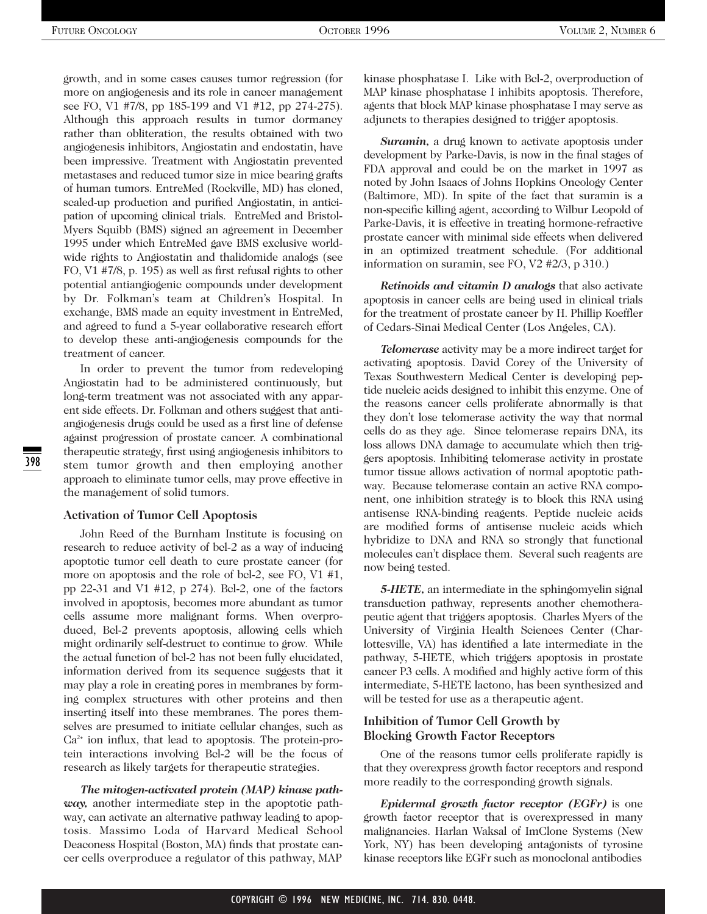growth, and in some cases causes tumor regression (for more on angiogenesis and its role in cancer management see FO, V1 #7/8, pp 185-199 and V1 #12, pp 274-275). Although this approach results in tumor dormancy rather than obliteration, the results obtained with two angiogenesis inhibitors, Angiostatin and endostatin, have been impressive. Treatment with Angiostatin prevented metastases and reduced tumor size in mice bearing grafts of human tumors. EntreMed (Rockville, MD) has cloned, scaled-up production and purified Angiostatin, in anticipation of upcoming clinical trials. EntreMed and Bristol-Myers Squibb (BMS) signed an agreement in December 1995 under which EntreMed gave BMS exclusive worldwide rights to Angiostatin and thalidomide analogs (see FO, V1 #7/8, p. 195) as well as first refusal rights to other potential antiangiogenic compounds under development by Dr. Folkman's team at Children's Hospital. In exchange, BMS made an equity investment in EntreMed, and agreed to fund a 5-year collaborative research effort to develop these anti-angiogenesis compounds for the treatment of cancer.

In order to prevent the tumor from redeveloping Angiostatin had to be administered continuously, but long-term treatment was not associated with any apparent side effects. Dr. Folkman and others suggest that antiangiogenesis drugs could be used as a first line of defense against progression of prostate cancer. A combinational therapeutic strategy, first using angiogenesis inhibitors to stem tumor growth and then employing another approach to eliminate tumor cells, may prove effective in the management of solid tumors.

#### **Activation of Tumor Cell Apoptosis**

398

John Reed of the Burnham Institute is focusing on research to reduce activity of bcl-2 as a way of inducing apoptotic tumor cell death to cure prostate cancer (for more on apoptosis and the role of bcl-2, see FO, V1 #1, pp 22-31 and V1 #12, p 274). Bcl-2, one of the factors involved in apoptosis, becomes more abundant as tumor cells assume more malignant forms. When overproduced, Bcl-2 prevents apoptosis, allowing cells which might ordinarily self-destruct to continue to grow. While the actual function of bcl-2 has not been fully elucidated, information derived from its sequence suggests that it may play a role in creating pores in membranes by forming complex structures with other proteins and then inserting itself into these membranes. The pores themselves are presumed to initiate cellular changes, such as  $Ca<sup>2+</sup>$  ion influx, that lead to apoptosis. The protein-protein interactions involving Bcl-2 will be the focus of research as likely targets for therapeutic strategies.

*The mitogen-activated protein (MAP) kinase pathway,* another intermediate step in the apoptotic pathway, can activate an alternative pathway leading to apoptosis. Massimo Loda of Harvard Medical School Deaconess Hospital (Boston, MA) finds that prostate cancer cells overproduce a regulator of this pathway, MAP kinase phosphatase I. Like with Bcl-2, overproduction of MAP kinase phosphatase I inhibits apoptosis. Therefore, agents that block MAP kinase phosphatase I may serve as adjuncts to therapies designed to trigger apoptosis.

*Suramin,* a drug known to activate apoptosis under development by Parke-Davis, is now in the final stages of FDA approval and could be on the market in 1997 as noted by John Isaacs of Johns Hopkins Oncology Center (Baltimore, MD). In spite of the fact that suramin is a non-specific killing agent, according to Wilbur Leopold of Parke-Davis, it is effective in treating hormone-refractive prostate cancer with minimal side effects when delivered in an optimized treatment schedule. (For additional information on suramin, see FO, V2 #2/3, p 310.)

*Retinoids and vitamin D analogs* that also activate apoptosis in cancer cells are being used in clinical trials for the treatment of prostate cancer by H. Phillip Koeffler of Cedars-Sinai Medical Center (Los Angeles, CA).

*Telomerase* activity may be a more indirect target for activating apoptosis. David Corey of the University of Texas Southwestern Medical Center is developing peptide nucleic acids designed to inhibit this enzyme. One of the reasons cancer cells proliferate abnormally is that they don't lose telomerase activity the way that normal cells do as they age. Since telomerase repairs DNA, its loss allows DNA damage to accumulate which then triggers apoptosis. Inhibiting telomerase activity in prostate tumor tissue allows activation of normal apoptotic pathway. Because telomerase contain an active RNA component, one inhibition strategy is to block this RNA using antisense RNA-binding reagents. Peptide nucleic acids are modified forms of antisense nucleic acids which hybridize to DNA and RNA so strongly that functional molecules can't displace them. Several such reagents are now being tested.

*5-HETE,* an intermediate in the sphingomyelin signal transduction pathway, represents another chemotherapeutic agent that triggers apoptosis. Charles Myers of the University of Virginia Health Sciences Center (Charlottesville, VA) has identified a late intermediate in the pathway, 5-HETE, which triggers apoptosis in prostate cancer P3 cells. A modified and highly active form of this intermediate, 5-HETE lactono, has been synthesized and will be tested for use as a therapeutic agent.

#### **Inhibition of Tumor Cell Growth by Blocking Growth Factor Receptors**

One of the reasons tumor cells proliferate rapidly is that they overexpress growth factor receptors and respond more readily to the corresponding growth signals.

*Epidermal growth factor receptor (EGFr)* is one growth factor receptor that is overexpressed in many malignancies. Harlan Waksal of ImClone Systems (New York, NY) has been developing antagonists of tyrosine kinase receptors like EGFr such as monoclonal antibodies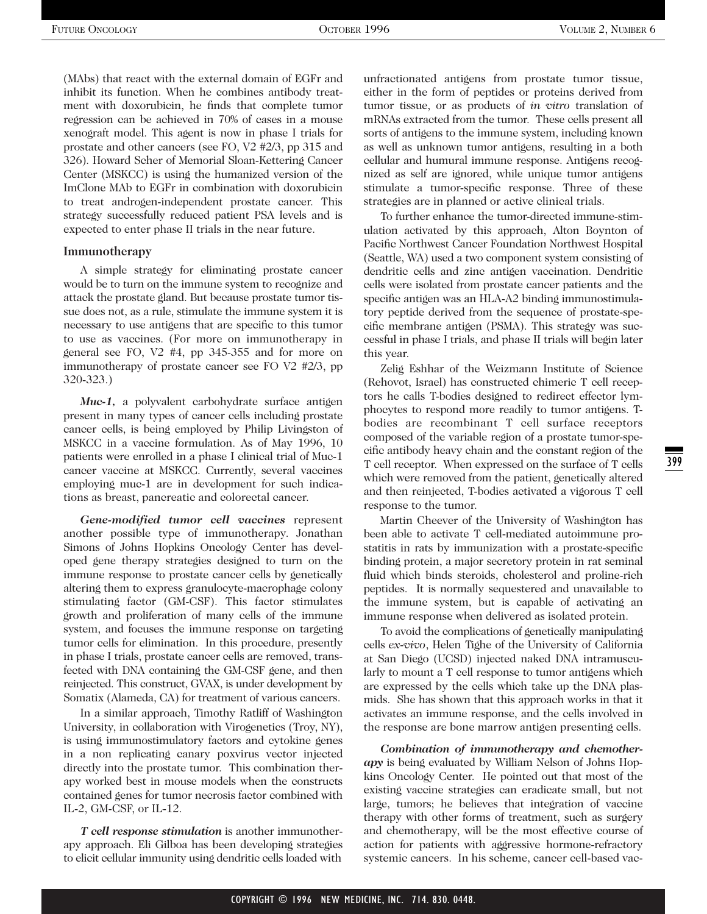(MAbs) that react with the external domain of EGFr and inhibit its function. When he combines antibody treatment with doxorubicin, he finds that complete tumor regression can be achieved in 70% of cases in a mouse xenograft model. This agent is now in phase I trials for prostate and other cancers (see FO, V2 #2/3, pp 315 and 326). Howard Scher of Memorial Sloan-Kettering Cancer Center (MSKCC) is using the humanized version of the ImClone MAb to EGFr in combination with doxorubicin to treat androgen-independent prostate cancer. This strategy successfully reduced patient PSA levels and is expected to enter phase II trials in the near future.

#### **Immunotherapy**

A simple strategy for eliminating prostate cancer would be to turn on the immune system to recognize and attack the prostate gland. But because prostate tumor tissue does not, as a rule, stimulate the immune system it is necessary to use antigens that are specific to this tumor to use as vaccines. (For more on immunotherapy in general see FO, V2 #4, pp 345-355 and for more on immunotherapy of prostate cancer see FO V2 #2/3, pp 320-323.)

*Muc-1,* a polyvalent carbohydrate surface antigen present in many types of cancer cells including prostate cancer cells, is being employed by Philip Livingston of MSKCC in a vaccine formulation. As of May 1996, 10 patients were enrolled in a phase I clinical trial of Muc-1 cancer vaccine at MSKCC. Currently, several vaccines employing muc-1 are in development for such indications as breast, pancreatic and colorectal cancer.

*Gene-modified tumor cell vaccines* represent another possible type of immunotherapy. Jonathan Simons of Johns Hopkins Oncology Center has developed gene therapy strategies designed to turn on the immune response to prostate cancer cells by genetically altering them to express granulocyte-macrophage colony stimulating factor (GM-CSF). This factor stimulates growth and proliferation of many cells of the immune system, and focuses the immune response on targeting tumor cells for elimination. In this procedure, presently in phase I trials, prostate cancer cells are removed, transfected with DNA containing the GM-CSF gene, and then reinjected. This construct, GVAX, is under development by Somatix (Alameda, CA) for treatment of various cancers.

In a similar approach, Timothy Ratliff of Washington University, in collaboration with Virogenetics (Troy, NY), is using immunostimulatory factors and cytokine genes in a non replicating canary poxvirus vector injected directly into the prostate tumor. This combination therapy worked best in mouse models when the constructs contained genes for tumor necrosis factor combined with IL-2, GM-CSF, or IL-12.

*T cell response stimulation* is another immunotherapy approach. Eli Gilboa has been developing strategies to elicit cellular immunity using dendritic cells loaded with

unfractionated antigens from prostate tumor tissue, either in the form of peptides or proteins derived from tumor tissue, or as products of *in vitro* translation of mRNAs extracted from the tumor. These cells present all sorts of antigens to the immune system, including known as well as unknown tumor antigens, resulting in a both cellular and humural immune response. Antigens recognized as self are ignored, while unique tumor antigens stimulate a tumor-specific response. Three of these strategies are in planned or active clinical trials.

To further enhance the tumor-directed immune-stimulation activated by this approach, Alton Boynton of Pacific Northwest Cancer Foundation Northwest Hospital (Seattle, WA) used a two component system consisting of dendritic cells and zinc antigen vaccination. Dendritic cells were isolated from prostate cancer patients and the specific antigen was an HLA-A2 binding immunostimulatory peptide derived from the sequence of prostate-specific membrane antigen (PSMA). This strategy was successful in phase I trials, and phase II trials will begin later this year.

Zelig Eshhar of the Weizmann Institute of Science (Rehovot, Israel) has constructed chimeric T cell receptors he calls T-bodies designed to redirect effector lymphocytes to respond more readily to tumor antigens. Tbodies are recombinant T cell surface receptors composed of the variable region of a prostate tumor-specific antibody heavy chain and the constant region of the T cell receptor. When expressed on the surface of T cells which were removed from the patient, genetically altered and then reinjected, T-bodies activated a vigorous T cell response to the tumor.

Martin Cheever of the University of Washington has been able to activate T cell-mediated autoimmune prostatitis in rats by immunization with a prostate-specific binding protein, a major secretory protein in rat seminal fluid which binds steroids, cholesterol and proline-rich peptides. It is normally sequestered and unavailable to the immune system, but is capable of activating an immune response when delivered as isolated protein.

To avoid the complications of genetically manipulating cells *ex-vivo*, Helen Tighe of the University of California at San Diego (UCSD) injected naked DNA intramuscularly to mount a T cell response to tumor antigens which are expressed by the cells which take up the DNA plasmids. She has shown that this approach works in that it activates an immune response, and the cells involved in the response are bone marrow antigen presenting cells.

*Combination of immunotherapy and chemotherapy* is being evaluated by William Nelson of Johns Hopkins Oncology Center. He pointed out that most of the existing vaccine strategies can eradicate small, but not large, tumors; he believes that integration of vaccine therapy with other forms of treatment, such as surgery and chemotherapy, will be the most effective course of action for patients with aggressive hormone-refractory systemic cancers. In his scheme, cancer cell-based vac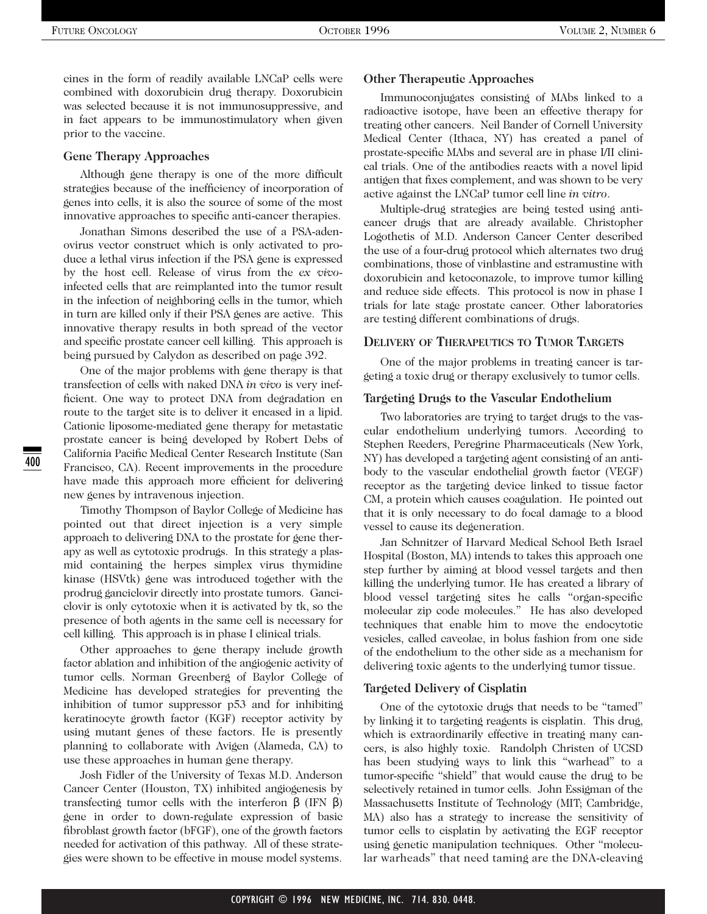cines in the form of readily available LNCaP cells were combined with doxorubicin drug therapy. Doxorubicin was selected because it is not immunosuppressive, and in fact appears to be immunostimulatory when given prior to the vaccine.

#### **Gene Therapy Approaches**

Although gene therapy is one of the more difficult strategies because of the inefficiency of incorporation of genes into cells, it is also the source of some of the most innovative approaches to specific anti-cancer therapies.

Jonathan Simons described the use of a PSA-adenovirus vector construct which is only activated to produce a lethal virus infection if the PSA gene is expressed by the host cell. Release of virus from the *ex vivo*infected cells that are reimplanted into the tumor result in the infection of neighboring cells in the tumor, which in turn are killed only if their PSA genes are active. This innovative therapy results in both spread of the vector and specific prostate cancer cell killing. This approach is being pursued by Calydon as described on page 392.

One of the major problems with gene therapy is that transfection of cells with naked DNA *in vivo* is very inefficient. One way to protect DNA from degradation en route to the target site is to deliver it encased in a lipid. Cationic liposome-mediated gene therapy for metastatic prostate cancer is being developed by Robert Debs of California Pacific Medical Center Research Institute (San Francisco, CA). Recent improvements in the procedure have made this approach more efficient for delivering new genes by intravenous injection.

Timothy Thompson of Baylor College of Medicine has pointed out that direct injection is a very simple approach to delivering DNA to the prostate for gene therapy as well as cytotoxic prodrugs. In this strategy a plasmid containing the herpes simplex virus thymidine kinase (HSVtk) gene was introduced together with the prodrug ganciclovir directly into prostate tumors. Ganciclovir is only cytotoxic when it is activated by tk, so the presence of both agents in the same cell is necessary for cell killing. This approach is in phase I clinical trials.

Other approaches to gene therapy include growth factor ablation and inhibition of the angiogenic activity of tumor cells. Norman Greenberg of Baylor College of Medicine has developed strategies for preventing the inhibition of tumor suppressor p53 and for inhibiting keratinocyte growth factor (KGF) receptor activity by using mutant genes of these factors. He is presently planning to collaborate with Avigen (Alameda, CA) to use these approaches in human gene therapy.

Josh Fidler of the University of Texas M.D. Anderson Cancer Center (Houston, TX) inhibited angiogenesis by transfecting tumor cells with the interferon β (IFN β) gene in order to down-regulate expression of basic fibroblast growth factor (bFGF), one of the growth factors needed for activation of this pathway. All of these strategies were shown to be effective in mouse model systems.

#### **Other Therapeutic Approaches**

Immunoconjugates consisting of MAbs linked to a radioactive isotope, have been an effective therapy for treating other cancers. Neil Bander of Cornell University Medical Center (Ithaca, NY) has created a panel of prostate-specific MAbs and several are in phase I/II clinical trials. One of the antibodies reacts with a novel lipid antigen that fixes complement, and was shown to be very active against the LNCaP tumor cell line *in vitro*.

Multiple-drug strategies are being tested using anticancer drugs that are already available. Christopher Logothetis of M.D. Anderson Cancer Center described the use of a four-drug protocol which alternates two drug combinations, those of vinblastine and estramustine with doxorubicin and ketoconazole, to improve tumor killing and reduce side effects. This protocol is now in phase I trials for late stage prostate cancer. Other laboratories are testing different combinations of drugs.

#### **DELIVERY OF THERAPEUTICS TO TUMOR TARGETS**

One of the major problems in treating cancer is targeting a toxic drug or therapy exclusively to tumor cells.

#### **Targeting Drugs to the Vascular Endothelium**

Two laboratories are trying to target drugs to the vascular endothelium underlying tumors. According to Stephen Reeders, Peregrine Pharmaceuticals (New York, NY) has developed a targeting agent consisting of an antibody to the vascular endothelial growth factor (VEGF) receptor as the targeting device linked to tissue factor CM, a protein which causes coagulation. He pointed out that it is only necessary to do focal damage to a blood vessel to cause its degeneration.

Jan Schnitzer of Harvard Medical School Beth Israel Hospital (Boston, MA) intends to takes this approach one step further by aiming at blood vessel targets and then killing the underlying tumor. He has created a library of blood vessel targeting sites he calls "organ-specific molecular zip code molecules." He has also developed techniques that enable him to move the endocytotic vesicles, called caveolae, in bolus fashion from one side of the endothelium to the other side as a mechanism for delivering toxic agents to the underlying tumor tissue.

#### **Targeted Delivery of Cisplatin**

One of the cytotoxic drugs that needs to be "tamed" by linking it to targeting reagents is cisplatin. This drug, which is extraordinarily effective in treating many cancers, is also highly toxic. Randolph Christen of UCSD has been studying ways to link this "warhead" to a tumor-specific "shield" that would cause the drug to be selectively retained in tumor cells. John Essigman of the Massachusetts Institute of Technology (MIT; Cambridge, MA) also has a strategy to increase the sensitivity of tumor cells to cisplatin by activating the EGF receptor using genetic manipulation techniques. Other "molecular warheads" that need taming are the DNA-cleaving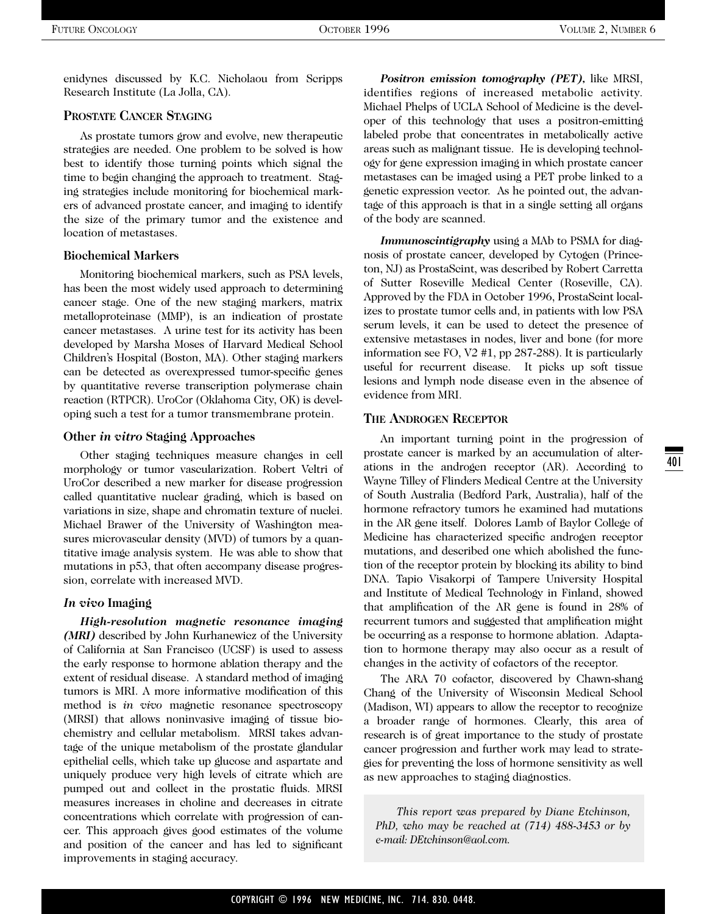enidynes discussed by K.C. Nicholaou from Scripps Research Institute (La Jolla, CA).

#### **PROSTATE CANCER STAGING**

As prostate tumors grow and evolve, new therapeutic strategies are needed. One problem to be solved is how best to identify those turning points which signal the time to begin changing the approach to treatment. Staging strategies include monitoring for biochemical markers of advanced prostate cancer, and imaging to identify the size of the primary tumor and the existence and location of metastases.

#### **Biochemical Markers**

Monitoring biochemical markers, such as PSA levels, has been the most widely used approach to determining cancer stage. One of the new staging markers, matrix metalloproteinase (MMP), is an indication of prostate cancer metastases. A urine test for its activity has been developed by Marsha Moses of Harvard Medical School Children's Hospital (Boston, MA). Other staging markers can be detected as overexpressed tumor-specific genes by quantitative reverse transcription polymerase chain reaction (RTPCR). UroCor (Oklahoma City, OK) is developing such a test for a tumor transmembrane protein.

#### **Other** *in vitro* **Staging Approaches**

Other staging techniques measure changes in cell morphology or tumor vascularization. Robert Veltri of UroCor described a new marker for disease progression called quantitative nuclear grading, which is based on variations in size, shape and chromatin texture of nuclei. Michael Brawer of the University of Washington measures microvascular density (MVD) of tumors by a quantitative image analysis system. He was able to show that mutations in p53, that often accompany disease progression, correlate with increased MVD.

#### *In vivo* **Imaging**

*High-resolution magnetic resonance imaging (MRI)* described by John Kurhanewicz of the University of California at San Francisco (UCSF) is used to assess the early response to hormone ablation therapy and the extent of residual disease. A standard method of imaging tumors is MRI. A more informative modification of this method is *in vivo* magnetic resonance spectroscopy (MRSI) that allows noninvasive imaging of tissue biochemistry and cellular metabolism. MRSI takes advantage of the unique metabolism of the prostate glandular epithelial cells, which take up glucose and aspartate and uniquely produce very high levels of citrate which are pumped out and collect in the prostatic fluids. MRSI measures increases in choline and decreases in citrate concentrations which correlate with progression of cancer. This approach gives good estimates of the volume and position of the cancer and has led to significant improvements in staging accuracy.

*Positron emission tomography (PET),* like MRSI, identifies regions of increased metabolic activity. Michael Phelps of UCLA School of Medicine is the developer of this technology that uses a positron-emitting labeled probe that concentrates in metabolically active areas such as malignant tissue. He is developing technology for gene expression imaging in which prostate cancer metastases can be imaged using a PET probe linked to a genetic expression vector. As he pointed out, the advantage of this approach is that in a single setting all organs of the body are scanned.

*Immunoscintigraphy* using a MAb to PSMA for diagnosis of prostate cancer, developed by Cytogen (Princeton, NJ) as ProstaScint, was described by Robert Carretta of Sutter Roseville Medical Center (Roseville, CA). Approved by the FDA in October 1996, ProstaScint localizes to prostate tumor cells and, in patients with low PSA serum levels, it can be used to detect the presence of extensive metastases in nodes, liver and bone (for more information see FO, V2 #1, pp 287-288). It is particularly useful for recurrent disease. It picks up soft tissue lesions and lymph node disease even in the absence of evidence from MRI.

#### **THE ANDROGEN RECEPTOR**

An important turning point in the progression of prostate cancer is marked by an accumulation of alterations in the androgen receptor (AR). According to Wayne Tilley of Flinders Medical Centre at the University of South Australia (Bedford Park, Australia), half of the hormone refractory tumors he examined had mutations in the AR gene itself. Dolores Lamb of Baylor College of Medicine has characterized specific androgen receptor mutations, and described one which abolished the function of the receptor protein by blocking its ability to bind DNA. Tapio Visakorpi of Tampere University Hospital and Institute of Medical Technology in Finland, showed that amplification of the AR gene is found in 28% of recurrent tumors and suggested that amplification might be occurring as a response to hormone ablation. Adaptation to hormone therapy may also occur as a result of changes in the activity of cofactors of the receptor.

The ARA 70 cofactor, discovered by Chawn-shang Chang of the University of Wisconsin Medical School (Madison, WI) appears to allow the receptor to recognize a broader range of hormones. Clearly, this area of research is of great importance to the study of prostate cancer progression and further work may lead to strategies for preventing the loss of hormone sensitivity as well as new approaches to staging diagnostics.

*This report was prepared by Diane Etchinson, PhD, who may be reached at (714) 488-3453 or by e-mail: DEtchinson@aol.com.*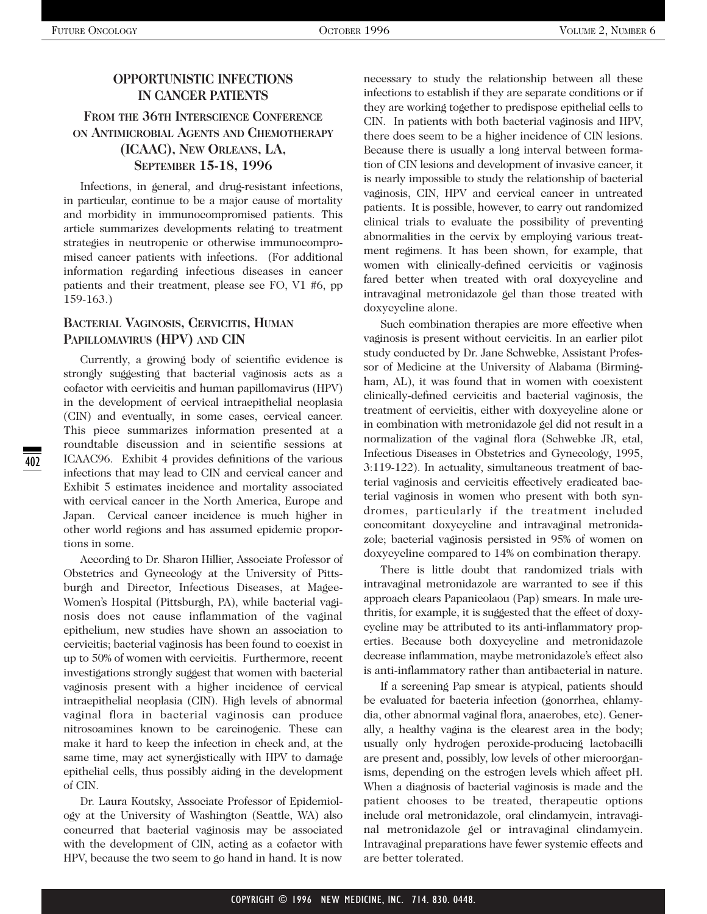## **OPPORTUNISTIC INFECTIONS IN CANCER PATIENTS**

## **FROM THE 36TH INTERSCIENCE CONFERENCE ON ANTIMICROBIAL AGENTS AND CHEMOTHERAPY (ICAAC), NEW ORLEANS, LA, SEPTEMBER 15-18, 1996**

Infections, in general, and drug-resistant infections, in particular, continue to be a major cause of mortality and morbidity in immunocompromised patients. This article summarizes developments relating to treatment strategies in neutropenic or otherwise immunocompromised cancer patients with infections. (For additional information regarding infectious diseases in cancer patients and their treatment, please see FO, V1 #6, pp 159-163.)

## **BACTERIAL VAGINOSIS, CERVICITIS, HUMAN PAPILLOMAVIRUS (HPV) AND CIN**

Currently, a growing body of scientific evidence is strongly suggesting that bacterial vaginosis acts as a cofactor with cervicitis and human papillomavirus (HPV) in the development of cervical intraepithelial neoplasia (CIN) and eventually, in some cases, cervical cancer. This piece summarizes information presented at a roundtable discussion and in scientific sessions at ICAAC96. Exhibit 4 provides definitions of the various infections that may lead to CIN and cervical cancer and Exhibit 5 estimates incidence and mortality associated with cervical cancer in the North America, Europe and Japan. Cervical cancer incidence is much higher in other world regions and has assumed epidemic proportions in some.

According to Dr. Sharon Hillier, Associate Professor of Obstetrics and Gynecology at the University of Pittsburgh and Director, Infectious Diseases, at Magee-Women's Hospital (Pittsburgh, PA), while bacterial vaginosis does not cause inflammation of the vaginal epithelium, new studies have shown an association to cervicitis; bacterial vaginosis has been found to coexist in up to 50% of women with cervicitis. Furthermore, recent investigations strongly suggest that women with bacterial vaginosis present with a higher incidence of cervical intraepithelial neoplasia (CIN). High levels of abnormal vaginal flora in bacterial vaginosis can produce nitrosoamines known to be carcinogenic. These can make it hard to keep the infection in check and, at the same time, may act synergistically with HPV to damage epithelial cells, thus possibly aiding in the development of CIN.

Dr. Laura Koutsky, Associate Professor of Epidemiology at the University of Washington (Seattle, WA) also concurred that bacterial vaginosis may be associated with the development of CIN, acting as a cofactor with HPV, because the two seem to go hand in hand. It is now necessary to study the relationship between all these infections to establish if they are separate conditions or if they are working together to predispose epithelial cells to CIN. In patients with both bacterial vaginosis and HPV, there does seem to be a higher incidence of CIN lesions. Because there is usually a long interval between formation of CIN lesions and development of invasive cancer, it is nearly impossible to study the relationship of bacterial vaginosis, CIN, HPV and cervical cancer in untreated patients. It is possible, however, to carry out randomized clinical trials to evaluate the possibility of preventing abnormalities in the cervix by employing various treatment regimens. It has been shown, for example, that women with clinically-defined cervicitis or vaginosis fared better when treated with oral doxycycline and intravaginal metronidazole gel than those treated with doxycycline alone.

Such combination therapies are more effective when vaginosis is present without cervicitis. In an earlier pilot study conducted by Dr. Jane Schwebke, Assistant Professor of Medicine at the University of Alabama (Birmingham, AL), it was found that in women with coexistent clinically-defined cervicitis and bacterial vaginosis, the treatment of cervicitis, either with doxycycline alone or in combination with metronidazole gel did not result in a normalization of the vaginal flora (Schwebke JR, etal, Infectious Diseases in Obstetrics and Gynecology, 1995, 3:119-122). In actuality, simultaneous treatment of bacterial vaginosis and cervicitis effectively eradicated bacterial vaginosis in women who present with both syndromes, particularly if the treatment included concomitant doxycycline and intravaginal metronidazole; bacterial vaginosis persisted in 95% of women on doxycycline compared to 14% on combination therapy.

There is little doubt that randomized trials with intravaginal metronidazole are warranted to see if this approach clears Papanicolaou (Pap) smears. In male urethritis, for example, it is suggested that the effect of doxycycline may be attributed to its anti-inflammatory properties. Because both doxycycline and metronidazole decrease inflammation, maybe metronidazole's effect also is anti-inflammatory rather than antibacterial in nature.

If a screening Pap smear is atypical, patients should be evaluated for bacteria infection (gonorrhea, chlamydia, other abnormal vaginal flora, anaerobes, etc). Generally, a healthy vagina is the clearest area in the body; usually only hydrogen peroxide-producing lactobacilli are present and, possibly, low levels of other microorganisms, depending on the estrogen levels which affect pH. When a diagnosis of bacterial vaginosis is made and the patient chooses to be treated, therapeutic options include oral metronidazole, oral clindamycin, intravaginal metronidazole gel or intravaginal clindamycin. Intravaginal preparations have fewer systemic effects and are better tolerated.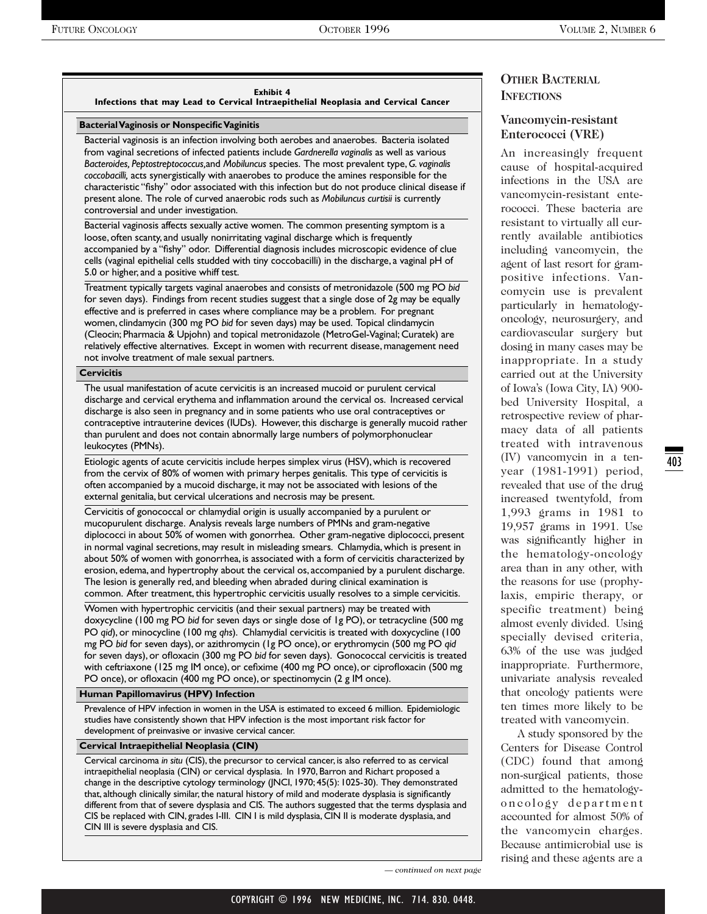#### **Exhibit 4**

**Infections that may Lead to Cervical Intraepithelial Neoplasia and Cervical Cancer** 

#### **Bacterial Vaginosis or Nonspecific Vaginitis**

Bacterial vaginosis is an infection involving both aerobes and anaerobes. Bacteria isolated from vaginal secretions of infected patients include *Gardnerella vaginalis* as well as various *Bacteroides, Peptostreptococcus,*and *Mobiluncus* species. The most prevalent type, *G. vaginalis coccobacilli,* acts synergistically with anaerobes to produce the amines responsible for the characteristic "fishy" odor associated with this infection but do not produce clinical disease if present alone. The role of curved anaerobic rods such as *Mobiluncus curtisii* is currently controversial and under investigation.

Bacterial vaginosis affects sexually active women. The common presenting symptom is a loose, often scanty, and usually nonirritating vaginal discharge which is frequently accompanied by a "fishy" odor. Differential diagnosis includes microscopic evidence of clue cells (vaginal epithelial cells studded with tiny coccobacilli) in the discharge, a vaginal pH of 5.0 or higher, and a positive whiff test.

Treatment typically targets vaginal anaerobes and consists of metronidazole (500 mg PO *bid* for seven days). Findings from recent studies suggest that a single dose of 2g may be equally effective and is preferred in cases where compliance may be a problem. For pregnant women, clindamycin (300 mg PO *bid* for seven days) may be used. Topical clindamycin (Cleocin; Pharmacia & Upjohn) and topical metronidazole (MetroGel-Vaginal; Curatek) are relatively effective alternatives. Except in women with recurrent disease, management need not involve treatment of male sexual partners.

#### **Cervicitis**

The usual manifestation of acute cervicitis is an increased mucoid or purulent cervical discharge and cervical erythema and inflammation around the cervical os. Increased cervical discharge is also seen in pregnancy and in some patients who use oral contraceptives or contraceptive intrauterine devices (IUDs). However, this discharge is generally mucoid rather than purulent and does not contain abnormally large numbers of polymorphonuclear leukocytes (PMNs).

Etiologic agents of acute cervicitis include herpes simplex virus (HSV), which is recovered from the cervix of 80% of women with primary herpes genitalis. This type of cervicitis is often accompanied by a mucoid discharge, it may not be associated with lesions of the external genitalia, but cervical ulcerations and necrosis may be present.

Cervicitis of gonococcal or chlamydial origin is usually accompanied by a purulent or mucopurulent discharge. Analysis reveals large numbers of PMNs and gram-negative diplococci in about 50% of women with gonorrhea. Other gram-negative diplococci, present in normal vaginal secretions, may result in misleading smears. Chlamydia, which is present in about 50% of women with gonorrhea, is associated with a form of cervicitis characterized by erosion, edema, and hypertrophy about the cervical os, accompanied by a purulent discharge. The lesion is generally red, and bleeding when abraded during clinical examination is common. After treatment, this hypertrophic cervicitis usually resolves to a simple cervicitis.

Women with hypertrophic cervicitis (and their sexual partners) may be treated with doxycycline (100 mg PO *bid* for seven days or single dose of 1g PO), or tetracycline (500 mg PO *qid*), or minocycline (100 mg *qhs*). Chlamydial cervicitis is treated with doxycycline (100 mg PO *bid* for seven days), or azithromycin (1g PO once), or erythromycin (500 mg PO *qid* for seven days), or ofloxacin (300 mg PO *bid* for seven days). Gonococcal cervicitis is treated with ceftriaxone (125 mg IM once), or cefixime (400 mg PO once), or ciprofloxacin (500 mg PO once), or ofloxacin (400 mg PO once), or spectinomycin (2 g IM once).

#### **Human Papillomavirus (HPV) Infection**

Prevalence of HPV infection in women in the USA is estimated to exceed 6 million. Epidemiologic studies have consistently shown that HPV infection is the most important risk factor for development of preinvasive or invasive cervical cancer.

#### **Cervical Intraepithelial Neoplasia (CIN)**

Cervical carcinoma *in situ* (CIS), the precursor to cervical cancer, is also referred to as cervical intraepithelial neoplasia (CIN) or cervical dysplasia. In 1970, Barron and Richart proposed a change in the descriptive cytology terminology (JNCI, 1970; 45(5): 1025-30). They demonstrated that, although clinically similar, the natural history of mild and moderate dysplasia is significantly different from that of severe dysplasia and CIS. The authors suggested that the terms dysplasia and CIS be replaced with CIN, grades I-III. CIN I is mild dysplasia, CIN II is moderate dysplasia, and CIN III is severe dysplasia and CIS.

**OTHER BACTERIAL INFECTIONS**

### **Vancomycin-resistant Enterococci (VRE)**

An increasingly frequent cause of hospital-acquired infections in the USA are vancomycin-resistant enterococci. These bacteria are resistant to virtually all currently available antibiotics including vancomycin, the agent of last resort for grampositive infections. Vancomycin use is prevalent particularly in hematologyoncology, neurosurgery, and cardiovascular surgery but dosing in many cases may be inappropriate. In a study carried out at the University of Iowa's (Iowa City, IA) 900 bed University Hospital, a retrospective review of pharmacy data of all patients treated with intravenous (IV) vancomycin in a tenyear (1981-1991) period, revealed that use of the drug increased twentyfold, from 1,993 grams in 1981 to 19,957 grams in 1991. Use was significantly higher in the hematology-oncology area than in any other, with the reasons for use (prophylaxis, empiric therapy, or specific treatment) being almost evenly divided. Using specially devised criteria, 63% of the use was judged inappropriate. Furthermore, univariate analysis revealed that oncology patients were ten times more likely to be treated with vancomycin.

A study sponsored by the Centers for Disease Control (CDC) found that among non-surgical patients, those admitted to the hematologyoncology department accounted for almost 50% of the vancomycin charges. Because antimicrobial use is rising and these agents are a 403

*— continued on next page*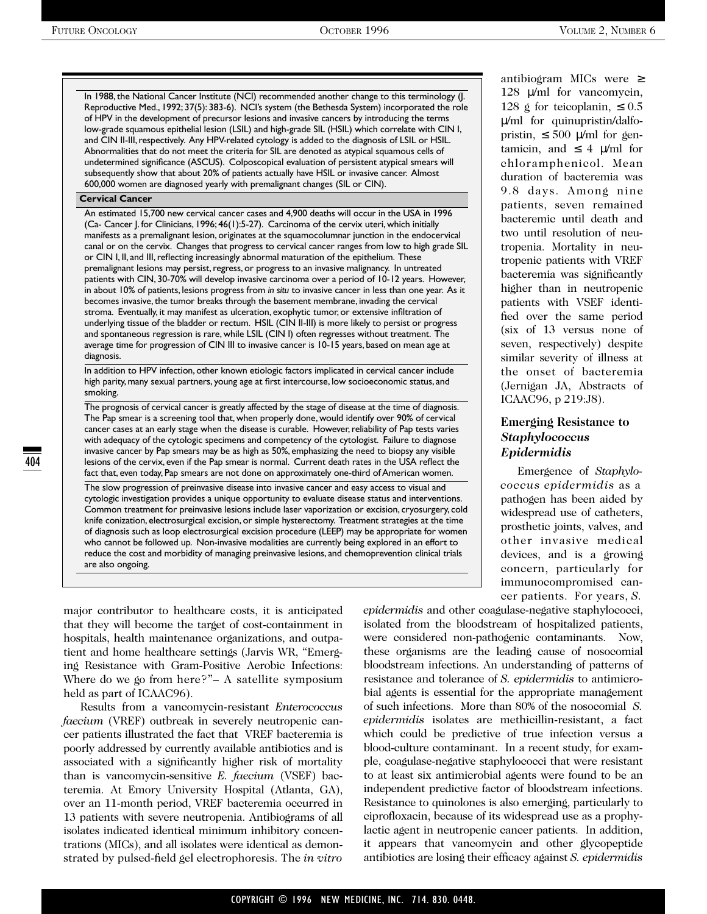In 1988, the National Cancer Institute (NCI) recommended another change to this terminology (J. Reproductive Med., 1992; 37(5): 383-6). NCI's system (the Bethesda System) incorporated the role of HPV in the development of precursor lesions and invasive cancers by introducing the terms low-grade squamous epithelial lesion (LSIL) and high-grade SIL (HSIL) which correlate with CIN I, and CIN II-III, respectively. Any HPV-related cytology is added to the diagnosis of LSIL or HSIL. Abnormalities that do not meet the criteria for SIL are denoted as atypical squamous cells of undetermined significance (ASCUS). Colposcopical evaluation of persistent atypical smears will subsequently show that about 20% of patients actually have HSIL or invasive cancer. Almost 600,000 women are diagnosed yearly with premalignant changes (SIL or CIN).

#### **Cervical Cancer**

An estimated 15,700 new cervical cancer cases and 4,900 deaths will occur in the USA in 1996 (Ca- Cancer J. for Clinicians, 1996; 46(1):5-27). Carcinoma of the cervix uteri, which initially manifests as a premalignant lesion, originates at the squamocolumnar junction in the endocervical canal or on the cervix. Changes that progress to cervical cancer ranges from low to high grade SIL or CIN I, II, and III, reflecting increasingly abnormal maturation of the epithelium. These premalignant lesions may persist, regress, or progress to an invasive malignancy. In untreated patients with CIN, 30-70% will develop invasive carcinoma over a period of 10-12 years. However, in about 10% of patients, lesions progress from *in situ* to invasive cancer in less than one year. As it becomes invasive, the tumor breaks through the basement membrane, invading the cervical stroma. Eventually, it may manifest as ulceration, exophytic tumor, or extensive infiltration of underlying tissue of the bladder or rectum. HSIL (CIN II-III) is more likely to persist or progress and spontaneous regression is rare, while LSIL (CIN I) often regresses without treatment. The average time for progression of CIN III to invasive cancer is 10-15 years, based on mean age at diagnosis.

In addition to HPV infection, other known etiologic factors implicated in cervical cancer include high parity, many sexual partners, young age at first intercourse, low socioeconomic status, and smoking.

The prognosis of cervical cancer is greatly affected by the stage of disease at the time of diagnosis. The Pap smear is a screening tool that, when properly done, would identify over 90% of cervical cancer cases at an early stage when the disease is curable. However, reliability of Pap tests varies with adequacy of the cytologic specimens and competency of the cytologist. Failure to diagnose invasive cancer by Pap smears may be as high as 50%, emphasizing the need to biopsy any visible lesions of the cervix, even if the Pap smear is normal. Current death rates in the USA reflect the fact that, even today, Pap smears are not done on approximately one-third of American women.

The slow progression of preinvasive disease into invasive cancer and easy access to visual and cytologic investigation provides a unique opportunity to evaluate disease status and interventions. Common treatment for preinvasive lesions include laser vaporization or excision, cryosurgery, cold knife conization, electrosurgical excision, or simple hysterectomy. Treatment strategies at the time of diagnosis such as loop electrosurgical excision procedure (LEEP) may be appropriate for women who cannot be followed up. Non-invasive modalities are currently being explored in an effort to reduce the cost and morbidity of managing preinvasive lesions, and chemoprevention clinical trials are also ongoing.

antibiogram MICs were ≥ 128 µ/ml for vancomycin, 128 g for teicoplanin,  $\leq 0.5$ µ/ml for quinupristin/dalfopristin,  $\leq 500$   $\mu$ /ml for gentamicin, and  $\leq 4 \le m$  for chloramphenicol. Mean duration of bacteremia was 9.8 days. Among nine patients, seven remained bacteremic until death and two until resolution of neutropenia. Mortality in neutropenic patients with VREF bacteremia was significantly higher than in neutropenic patients with VSEF identified over the same period (six of 13 versus none of seven, respectively) despite similar severity of illness at the onset of bacteremia (Jernigan JA, Abstracts of ICAAC96, p 219:J8).

## **Emerging Resistance to** *Staphylococcus Epidermidis*

Emergence of *Staphylococcus epidermidis* as a pathogen has been aided by widespread use of catheters, prosthetic joints, valves, and other invasive medical devices, and is a growing concern, particularly for immunocompromised cancer patients. For years, *S.* 

major contributor to healthcare costs, it is anticipated that they will become the target of cost-containment in hospitals, health maintenance organizations, and outpatient and home healthcare settings (Jarvis WR, "Emerging Resistance with Gram-Positive Aerobic Infections: Where do we go from here?"– A satellite symposium held as part of ICAAC96).

Results from a vancomycin-resistant *Enterococcus faecium* (VREF) outbreak in severely neutropenic cancer patients illustrated the fact that VREF bacteremia is poorly addressed by currently available antibiotics and is associated with a significantly higher risk of mortality than is vancomycin-sensitive *E. faecium* (VSEF) bacteremia. At Emory University Hospital (Atlanta, GA), over an 11-month period, VREF bacteremia occurred in 13 patients with severe neutropenia. Antibiograms of all isolates indicated identical minimum inhibitory concentrations (MICs), and all isolates were identical as demonstrated by pulsed-field gel electrophoresis. The *in vitro* *epidermidis* and other coagulase-negative staphylococci, isolated from the bloodstream of hospitalized patients, were considered non-pathogenic contaminants. Now, these organisms are the leading cause of nosocomial bloodstream infections. An understanding of patterns of resistance and tolerance of *S. epidermidis* to antimicrobial agents is essential for the appropriate management of such infections. More than 80% of the nosocomial *S. epidermidis* isolates are methicillin-resistant, a fact which could be predictive of true infection versus a blood-culture contaminant. In a recent study, for example, coagulase-negative staphylococci that were resistant to at least six antimicrobial agents were found to be an independent predictive factor of bloodstream infections. Resistance to quinolones is also emerging, particularly to ciprofloxacin, because of its widespread use as a prophylactic agent in neutropenic cancer patients. In addition, it appears that vancomycin and other glycopeptide antibiotics are losing their efficacy against *S. epidermidis*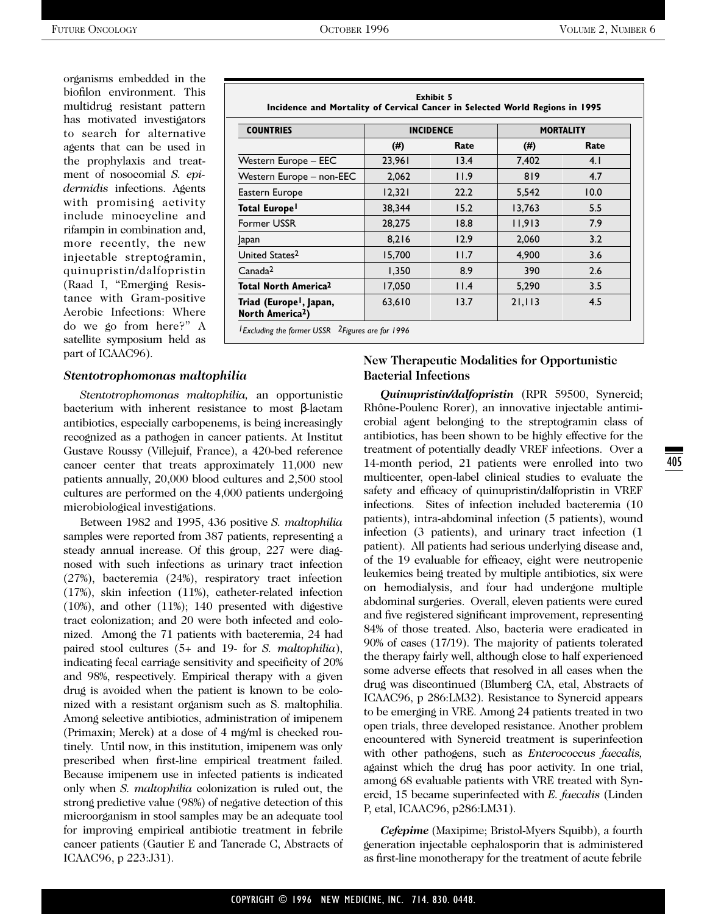organisms embedded in the biofilon environment. This multidrug resistant pattern has motivated investigators to search for alternative agents that can be used in the prophylaxis and treatment of nosocomial *S. epidermidis* infections. Agents with promising activity include minocycline and rifampin in combination and, more recently, the new injectable streptogramin, quinupristin/dalfopristin (Raad I, "Emerging Resistance with Gram-positive Aerobic Infections: Where do we go from here?" A satellite symposium held as part of ICAAC96).

| <b>Exhibit 5</b><br>Incidence and Mortality of Cervical Cancer in Selected World Regions in 1995<br><b>COUNTRIES</b><br><b>INCIDENCE</b><br><b>MORTALITY</b> |             |      |        |      |
|--------------------------------------------------------------------------------------------------------------------------------------------------------------|-------------|------|--------|------|
|                                                                                                                                                              | (#)<br>Rate |      | (# )   | Rate |
| Western Europe - EEC                                                                                                                                         | 23.961      | 13.4 | 7.402  | 4.1  |
| Western Europe - non-EEC                                                                                                                                     | 2.062       | 11.9 | 819    | 4.7  |
| Eastern Europe                                                                                                                                               | 12,321      | 22.2 | 5,542  | 10.0 |
| Total Europe <sup>l</sup>                                                                                                                                    | 38.344      | 15.2 | 13.763 | 5.5  |
| <b>Former USSR</b>                                                                                                                                           | 28,275      | 18.8 | 11,913 | 7.9  |
| Japan                                                                                                                                                        | 8,216       | 12.9 | 2,060  | 3.2  |
| United States <sup>2</sup>                                                                                                                                   | 15,700      | 11.7 | 4,900  | 3.6  |
| Canada <sup>2</sup>                                                                                                                                          | 1,350       | 8.9  | 390    | 2.6  |
| <b>Total North America<sup>2</sup></b>                                                                                                                       | 17,050      | 11.4 | 5,290  | 3.5  |
| Triad (Europe <sup>1</sup> , Japan,<br>North America <sup>2</sup> )                                                                                          | 63,610      | 13.7 | 21,113 | 4.5  |

*1Excluding the former USSR 2Figures are for 1996*

#### *Stentotrophomonas maltophilia*

*Stentotrophomonas maltophilia,* an opportunistic bacterium with inherent resistance to most β-lactam antibiotics, especially carbopenems, is being increasingly recognized as a pathogen in cancer patients. At Institut Gustave Roussy (Villejuif, France), a 420-bed reference cancer center that treats approximately 11,000 new patients annually, 20,000 blood cultures and 2,500 stool cultures are performed on the 4,000 patients undergoing microbiological investigations.

Between 1982 and 1995, 436 positive *S. maltophilia* samples were reported from 387 patients, representing a steady annual increase. Of this group, 227 were diagnosed with such infections as urinary tract infection (27%), bacteremia (24%), respiratory tract infection (17%), skin infection (11%), catheter-related infection (10%), and other (11%); 140 presented with digestive tract colonization; and 20 were both infected and colonized. Among the 71 patients with bacteremia, 24 had paired stool cultures (5+ and 19- for *S. maltophilia*), indicating fecal carriage sensitivity and specificity of 20% and 98%, respectively. Empirical therapy with a given drug is avoided when the patient is known to be colonized with a resistant organism such as S. maltophilia. Among selective antibiotics, administration of imipenem (Primaxin; Merck) at a dose of 4 mg/ml is checked routinely. Until now, in this institution, imipenem was only prescribed when first-line empirical treatment failed. Because imipenem use in infected patients is indicated only when *S. maltophilia* colonization is ruled out, the strong predictive value (98%) of negative detection of this microorganism in stool samples may be an adequate tool for improving empirical antibiotic treatment in febrile cancer patients (Gautier E and Tancrade C, Abstracts of ICAAC96, p 223:J31).

#### **New Therapeutic Modalities for Opportunistic Bacterial Infections**

*Quinupristin/dalfopristin* (RPR 59500, Synercid; Rhône-Poulenc Rorer), an innovative injectable antimicrobial agent belonging to the streptogramin class of antibiotics, has been shown to be highly effective for the treatment of potentially deadly VREF infections. Over a 14-month period, 21 patients were enrolled into two multicenter, open-label clinical studies to evaluate the safety and efficacy of quinupristin/dalfopristin in VREF infections. Sites of infection included bacteremia (10 patients), intra-abdominal infection (5 patients), wound infection (3 patients), and urinary tract infection (1 patient). All patients had serious underlying disease and, of the 19 evaluable for efficacy, eight were neutropenic leukemics being treated by multiple antibiotics, six were on hemodialysis, and four had undergone multiple abdominal surgeries. Overall, eleven patients were cured and five registered significant improvement, representing 84% of those treated. Also, bacteria were eradicated in 90% of cases (17/19). The majority of patients tolerated the therapy fairly well, although close to half experienced some adverse effects that resolved in all cases when the drug was discontinued (Blumberg CA, etal, Abstracts of ICAAC96, p 286:LM32). Resistance to Synercid appears to be emerging in VRE. Among 24 patients treated in two open trials, three developed resistance. Another problem encountered with Synercid treatment is superinfection with other pathogens, such as *Enterococcus faecalis,* against which the drug has poor activity. In one trial, among 68 evaluable patients with VRE treated with Synercid, 15 became superinfected with *E. faecalis* (Linden P, etal, ICAAC96, p286:LM31).

*Cefepime* (Maxipime; Bristol-Myers Squibb), a fourth generation injectable cephalosporin that is administered as first-line monotherapy for the treatment of acute febrile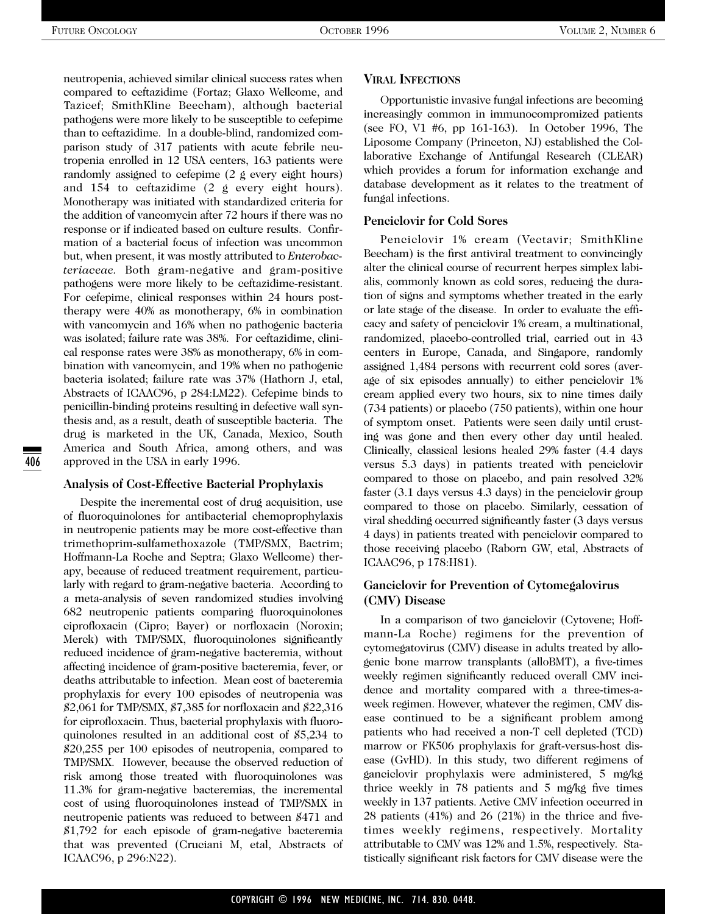neutropenia, achieved similar clinical success rates when compared to ceftazidime (Fortaz; Glaxo Wellcome, and Tazicef; SmithKline Beecham), although bacterial pathogens were more likely to be susceptible to cefepime than to ceftazidime. In a double-blind, randomized comparison study of 317 patients with acute febrile neutropenia enrolled in 12 USA centers, 163 patients were randomly assigned to cefepime (2 g every eight hours) and 154 to ceftazidime (2 g every eight hours). Monotherapy was initiated with standardized criteria for the addition of vancomycin after 72 hours if there was no response or if indicated based on culture results. Confirmation of a bacterial focus of infection was uncommon but, when present, it was mostly attributed to *Enterobacteriaceae.* Both gram-negative and gram-positive pathogens were more likely to be ceftazidime-resistant. For cefepime, clinical responses within 24 hours posttherapy were 40% as monotherapy, 6% in combination with vancomycin and 16% when no pathogenic bacteria was isolated; failure rate was 38%. For ceftazidime, clinical response rates were 38% as monotherapy, 6% in combination with vancomycin, and 19% when no pathogenic bacteria isolated; failure rate was 37% (Hathorn J, etal, Abstracts of ICAAC96, p 284:LM22). Cefepime binds to penicillin-binding proteins resulting in defective wall synthesis and, as a result, death of susceptible bacteria. The drug is marketed in the UK, Canada, Mexico, South America and South Africa, among others, and was approved in the USA in early 1996.

#### **Analysis of Cost-Effective Bacterial Prophylaxis**

Despite the incremental cost of drug acquisition, use of fluoroquinolones for antibacterial chemoprophylaxis in neutropenic patients may be more cost-effective than trimethoprim-sulfamethoxazole (TMP/SMX, Bactrim; Hoffmann-La Roche and Septra; Glaxo Wellcome) therapy, because of reduced treatment requirement, particularly with regard to gram-negative bacteria. According to a meta-analysis of seven randomized studies involving 682 neutropenic patients comparing fluoroquinolones ciprofloxacin (Cipro; Bayer) or norfloxacin (Noroxin; Merck) with TMP/SMX, fluoroquinolones significantly reduced incidence of gram-negative bacteremia, without affecting incidence of gram-positive bacteremia, fever, or deaths attributable to infection. Mean cost of bacteremia prophylaxis for every 100 episodes of neutropenia was \$2,061 for TMP/SMX, \$7,385 for norfloxacin and \$22,316 for ciprofloxacin. Thus, bacterial prophylaxis with fluoroquinolones resulted in an additional cost of \$5,234 to \$20,255 per 100 episodes of neutropenia, compared to TMP/SMX. However, because the observed reduction of risk among those treated with fluoroquinolones was 11.3% for gram-negative bacteremias, the incremental cost of using fluoroquinolones instead of TMP/SMX in neutropenic patients was reduced to between \$471 and \$1,792 for each episode of gram-negative bacteremia that was prevented (Cruciani M, etal, Abstracts of ICAAC96, p 296:N22).

#### **VIRAL INFECTIONS**

Opportunistic invasive fungal infections are becoming increasingly common in immunocompromized patients (see FO, V1 #6, pp 161-163). In October 1996, The Liposome Company (Princeton, NJ) established the Collaborative Exchange of Antifungal Research (CLEAR) which provides a forum for information exchange and database development as it relates to the treatment of fungal infections.

#### **Penciclovir for Cold Sores**

Penciclovir 1% cream (Vectavir; SmithKline Beecham) is the first antiviral treatment to convincingly alter the clinical course of recurrent herpes simplex labialis, commonly known as cold sores, reducing the duration of signs and symptoms whether treated in the early or late stage of the disease. In order to evaluate the efficacy and safety of penciclovir 1% cream, a multinational, randomized, placebo-controlled trial, carried out in 43 centers in Europe, Canada, and Singapore, randomly assigned 1,484 persons with recurrent cold sores (average of six episodes annually) to either penciclovir 1% cream applied every two hours, six to nine times daily (734 patients) or placebo (750 patients), within one hour of symptom onset. Patients were seen daily until crusting was gone and then every other day until healed. Clinically, classical lesions healed 29% faster (4.4 days versus 5.3 days) in patients treated with penciclovir compared to those on placebo, and pain resolved 32% faster (3.1 days versus 4.3 days) in the penciclovir group compared to those on placebo. Similarly, cessation of viral shedding occurred significantly faster (3 days versus 4 days) in patients treated with penciclovir compared to those receiving placebo (Raborn GW, etal, Abstracts of ICAAC96, p 178:H81).

### **Ganciclovir for Prevention of Cytomegalovirus (CMV) Disease**

In a comparison of two ganciclovir (Cytovene; Hoffmann-La Roche) regimens for the prevention of cytomegatovirus (CMV) disease in adults treated by allogenic bone marrow transplants (alloBMT), a five-times weekly regimen significantly reduced overall CMV incidence and mortality compared with a three-times-aweek regimen. However, whatever the regimen, CMV disease continued to be a significant problem among patients who had received a non-T cell depleted (TCD) marrow or FK506 prophylaxis for graft-versus-host disease (GvHD). In this study, two different regimens of ganciclovir prophylaxis were administered, 5 mg/kg thrice weekly in 78 patients and 5 mg/kg five times weekly in 137 patients. Active CMV infection occurred in 28 patients (41%) and 26 (21%) in the thrice and fivetimes weekly regimens, respectively. Mortality attributable to CMV was 12% and 1.5%, respectively. Statistically significant risk factors for CMV disease were the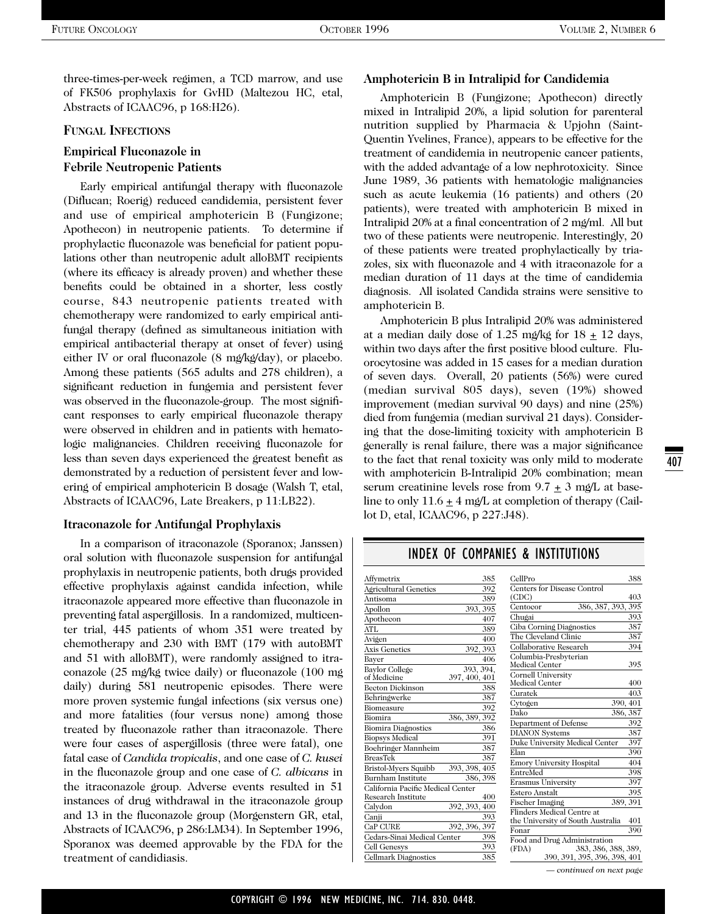three-times-per-week regimen, a TCD marrow, and use of FK506 prophylaxis for GvHD (Maltezou HC, etal, Abstracts of ICAAC96, p 168:H26).

#### **FUNGAL INFECTIONS**

## **Empirical Fluconazole in Febrile Neutropenic Patients**

Early empirical antifungal therapy with fluconazole (Diflucan; Roerig) reduced candidemia, persistent fever and use of empirical amphotericin B (Fungizone; Apothecon) in neutropenic patients. To determine if prophylactic fluconazole was beneficial for patient populations other than neutropenic adult alloBMT recipients (where its efficacy is already proven) and whether these benefits could be obtained in a shorter, less costly course, 843 neutropenic patients treated with chemotherapy were randomized to early empirical antifungal therapy (defined as simultaneous initiation with empirical antibacterial therapy at onset of fever) using either IV or oral fluconazole (8 mg/kg/day), or placebo. Among these patients (565 adults and 278 children), a significant reduction in fungemia and persistent fever was observed in the fluconazole-group. The most significant responses to early empirical fluconazole therapy were observed in children and in patients with hematologic malignancies. Children receiving fluconazole for less than seven days experienced the greatest benefit as demonstrated by a reduction of persistent fever and lowering of empirical amphotericin B dosage (Walsh T, etal, Abstracts of ICAAC96, Late Breakers, p 11:LB22).

#### **Itraconazole for Antifungal Prophylaxis**

In a comparison of itraconazole (Sporanox; Janssen) oral solution with fluconazole suspension for antifungal prophylaxis in neutropenic patients, both drugs provided effective prophylaxis against candida infection, while itraconazole appeared more effective than fluconazole in preventing fatal aspergillosis. In a randomized, multicenter trial, 445 patients of whom 351 were treated by chemotherapy and 230 with BMT (179 with autoBMT and 51 with alloBMT), were randomly assigned to itraconazole (25 mg/kg twice daily) or fluconazole (100 mg daily) during 581 neutropenic episodes. There were more proven systemic fungal infections (six versus one) and more fatalities (four versus none) among those treated by fluconazole rather than itraconazole. There were four cases of aspergillosis (three were fatal), one fatal case of *Candida tropicalis*, and one case of *C. kusei* in the fluconazole group and one case of *C. albicans* in the itraconazole group. Adverse events resulted in 51 instances of drug withdrawal in the itraconazole group and 13 in the fluconazole group (Morgenstern GR, etal, Abstracts of ICAAC96, p 286:LM34). In September 1996, Sporanox was deemed approvable by the FDA for the treatment of candidiasis.

#### **Amphotericin B in Intralipid for Candidemia**

Amphotericin B (Fungizone; Apothecon) directly mixed in Intralipid 20%, a lipid solution for parenteral nutrition supplied by Pharmacia & Upjohn (Saint-Quentin Yvelines, France), appears to be effective for the treatment of candidemia in neutropenic cancer patients, with the added advantage of a low nephrotoxicity. Since June 1989, 36 patients with hematologic malignancies such as acute leukemia (16 patients) and others (20 patients), were treated with amphotericin B mixed in Intralipid 20% at a final concentration of 2 mg/ml. All but two of these patients were neutropenic. Interestingly, 20 of these patients were treated prophylactically by triazoles, six with fluconazole and 4 with itraconazole for a median duration of 11 days at the time of candidemia diagnosis. All isolated Candida strains were sensitive to amphotericin B.

Amphotericin B plus Intralipid 20% was administered at a median daily dose of 1.25 mg/kg for  $18 + 12$  days, within two days after the first positive blood culture. Fluorocytosine was added in 15 cases for a median duration of seven days. Overall, 20 patients (56%) were cured (median survival 805 days), seven (19%) showed improvement (median survival 90 days) and nine (25%) died from fungemia (median survival 21 days). Considering that the dose-limiting toxicity with amphotericin B generally is renal failure, there was a major significance to the fact that renal toxicity was only mild to moderate with amphotericin B-Intralipid 20% combination; mean serum creatinine levels rose from  $9.7 \pm 3$  mg/L at baseline to only  $11.6 \pm 4$  mg/L at completion of therapy (Caillot D, etal, ICAAC96, p 227:J48).

| Affymetrix                        |               | 385 | CellPro                                                      | 388      |
|-----------------------------------|---------------|-----|--------------------------------------------------------------|----------|
| <b>Agricultural Genetics</b>      |               | 392 | Centers for Disease Control                                  |          |
| Antisoma                          |               | 389 | (CDC)                                                        | 403      |
| Apollon                           | 393, 395      |     | 386, 387, 393, 395<br>Centocor                               |          |
| Apothecon                         |               | 407 | Chugai                                                       | 393      |
| ATL                               |               | 389 | Ciba Corning Diagnostics                                     | 387      |
| Avigen                            |               | 400 | The Cleveland Clinic                                         | 387      |
| <b>Axis Genetics</b>              | 392, 393      |     | Collaborative Research                                       | 394      |
| Bayer                             |               | 406 | Columbia-Presbyterian                                        |          |
| Baylor College                    | 393, 394,     |     | Medical Center                                               | 395      |
| of Medicine                       | 397, 400, 401 |     | <b>Cornell University</b>                                    |          |
| <b>Becton Dickinson</b>           |               | 388 | Medical Center                                               | 400      |
| Behringwerke                      |               | 387 | Curatek                                                      | 403      |
| Biomeasure                        |               | 392 | Cvtogen                                                      | 390, 401 |
| Biomira                           | 386, 389, 392 |     | Dako                                                         | 386, 387 |
| <b>Biomira Diagnostics</b>        |               | 386 | Department of Defense                                        | 392      |
| <b>Biopsys Medical</b>            |               | 391 | <b>DIANON</b> Systems                                        | 387      |
| Boehringer Mannheim               |               | 387 | Duke University Medical Center                               | 397      |
| <b>BreasTek</b>                   |               | 387 | Elan                                                         | 390      |
| Bristol-Myers Squibb              | 393, 398, 405 |     | <b>Emory University Hospital</b>                             | 404      |
| <b>Burnham Institute</b>          | 386, 398      |     | EntreMed                                                     | 398      |
| California Pacific Medical Center |               |     | <b>Erasmus University</b>                                    | 397      |
| Research Institute                |               | 400 | Estero Anstalt                                               | 395      |
| Calydon                           | 392, 393, 400 |     | Fischer Imaging                                              | 389, 391 |
| Canji                             |               | 393 | Flinders Medical Centre at                                   |          |
| CaP CURE                          | 392, 396, 397 |     | the University of South Australia                            | 401      |
| Cedars-Sinai Medical Center       |               | 398 | Fonar                                                        | 390      |
| Cell Genesys                      |               | 393 | Food and Drug Administration<br>(FDA)<br>383, 386, 388, 389, |          |
| <b>Cellmark Diagnostics</b>       |               | 385 | 390, 391, 395, 396, 398, 401                                 |          |
|                                   |               |     | — continued on next page                                     |          |

## INDEX OF COMPANIES & INSTITUTIONS